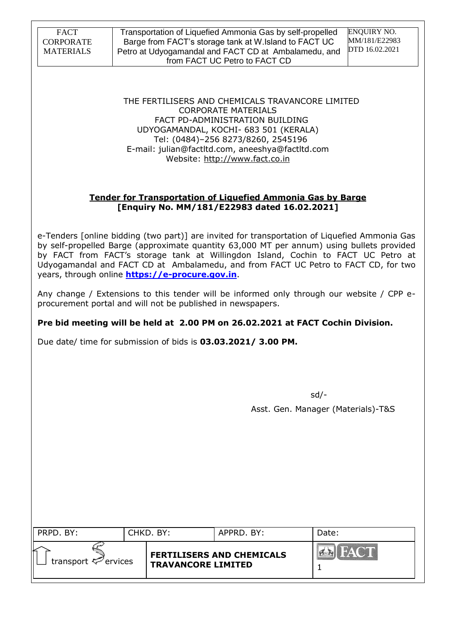Transportation of Liquefied Ammonia Gas by self-propelled Barge from FACT's storage tank at W.Island to FACT UC Petro at Udyogamandal and FACT CD at Ambalamedu, and from FACT UC Petro to FACT CD

ENQUIRY NO. MM/181/E22983 DTD 16.02.2021

THE FERTILISERS AND CHEMICALS TRAVANCORE LIMITED CORPORATE MATERIALS FACT PD-ADMINISTRATION BUILDING UDYOGAMANDAL, KOCHI- 683 501 (KERALA) Tel: (0484)–256 8273/8260, 2545196 E-mail: julian@factltd.com, aneeshya@factltd.com Website: [http://www.fact.co.in](http://www.fact.co.in/)

## **Tender for Transportation of Liquefied Ammonia Gas by Barge [Enquiry No. MM/181/E22983 dated 16.02.2021]**

e-Tenders [online bidding (two part)] are invited for transportation of Liquefied Ammonia Gas by self-propelled Barge (approximate quantity 63,000 MT per annum) using bullets provided by FACT from FACT"s storage tank at Willingdon Island, Cochin to FACT UC Petro at Udyogamandal and FACT CD at Ambalamedu, and from FACT UC Petro to FACT CD, for two years, through online **[https://e-procure.gov.in](https://e-procure.gov.in/)**.

Any change / Extensions to this tender will be informed only through our website / CPP eprocurement portal and will not be published in newspapers.

# **Pre bid meeting will be held at 2.00 PM on 26.02.2021 at FACT Cochin Division.**

Due date/ time for submission of bids is **03.03.2021/ 3.00 PM.**

 $\mathsf{sd}/\mathsf{-}$ Asst. Gen. Manager (Materials)-T&S

| PRPD. BY:                      | CHKD. BY:                 | APPRD. BY:                       | Date:       |
|--------------------------------|---------------------------|----------------------------------|-------------|
| transport $\heartsuit$ ervices | <b>TRAVANCORE LIMITED</b> | <b>FERTILISERS AND CHEMICALS</b> | HACT<br>PER |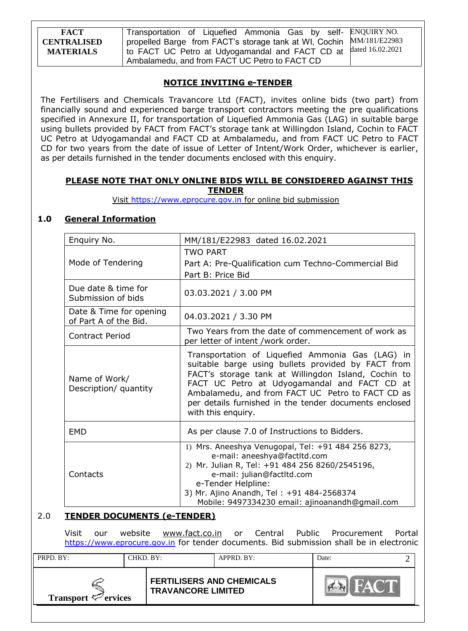| <b>FACT</b>        | Transportation of Liquefied Ammonia Gas by self- ENQUIRY NO.         |  |
|--------------------|----------------------------------------------------------------------|--|
| <b>CENTRALISED</b> | propelled Barge from FACT's storage tank at WI, Cochin MM/181/E22983 |  |
| <b>MATERIALS</b>   | to FACT UC Petro at Udyogamandal and FACT CD at dated 16.02.2021     |  |
|                    | Ambalamedu, and from FACT UC Petro to FACT CD                        |  |

## **NOTICE INVITING e-TENDER**

The Fertilisers and Chemicals Travancore Ltd (FACT), invites online bids (two part) from financially sound and experienced barge transport contractors meeting the pre qualifications specified in Annexure II, for transportation of Liquefied Ammonia Gas (LAG) in suitable barge using bullets provided by FACT from FACT"s storage tank at Willingdon Island, Cochin to FACT UC Petro at Udyogamandal and FACT CD at Ambalamedu, and from FACT UC Petro to FACT CD for two years from the date of issue of Letter of Intent/Work Order, whichever is earlier, as per details furnished in the tender documents enclosed with this enquiry.

#### **PLEASE NOTE THAT ONLY ONLINE BIDS WILL BE CONSIDERED AGAINST THIS TENDER**

Visit [https://www.eprocure.gov.in](https://www.eprocure.gov.in/) for online bid submission

## **1.0 General Information**

| Enquiry No.                                      | MM/181/E22983 dated 16.02.2021                                                                                                                                                                                                                                                                                                                    |
|--------------------------------------------------|---------------------------------------------------------------------------------------------------------------------------------------------------------------------------------------------------------------------------------------------------------------------------------------------------------------------------------------------------|
| Mode of Tendering                                | <b>TWO PART</b><br>Part A: Pre-Qualification cum Techno-Commercial Bid<br>Part B: Price Bid                                                                                                                                                                                                                                                       |
| Due date & time for<br>Submission of bids        | 03.03.2021 / 3.00 PM                                                                                                                                                                                                                                                                                                                              |
| Date & Time for opening<br>of Part A of the Bid. | 04.03.2021 / 3.30 PM                                                                                                                                                                                                                                                                                                                              |
| <b>Contract Period</b>                           | Two Years from the date of commencement of work as<br>per letter of intent /work order.                                                                                                                                                                                                                                                           |
| Name of Work/<br>Description/ quantity           | Transportation of Liquefied Ammonia Gas (LAG) in<br>suitable barge using bullets provided by FACT from<br>FACT's storage tank at Willingdon Island, Cochin to<br>FACT UC Petro at Udyogamandal and FACT CD at<br>Ambalamedu, and from FACT UC Petro to FACT CD as<br>per details furnished in the tender documents enclosed<br>with this enquiry. |
| <b>EMD</b>                                       | As per clause 7.0 of Instructions to Bidders.                                                                                                                                                                                                                                                                                                     |
| Contacts                                         | 1) Mrs. Aneeshya Venugopal, Tel: +91 484 256 8273,<br>e-mail: aneeshya@factltd.com<br>2) Mr. Julian R, Tel: +91 484 256 8260/2545196,<br>e-mail: julian@factltd.com<br>e-Tender Helpline:<br>3) Mr. Ajino Anandh, Tel: +91 484-2568374<br>Mobile: 9497334230 email: ajinoanandh@gmail.com                                                         |

## 2.0 **TENDER DOCUMENTS (e-TENDER)**

Visit our website [www.fact.co.in](http://www.fact.co.in/) or Central Public Procurement Portal [https://www.eprocure.gov.in](https://www.eprocure.gov.in/) for tender documents. Bid submission shall be in electronic

| PRPD. BY:                       | CHKD. BY:                                                     | APPRD. BY: | Date: |  |
|---------------------------------|---------------------------------------------------------------|------------|-------|--|
| Transport $\mathcal{P}$ ervices | <b>FERTILISERS AND CHEMICALS</b><br><b>TRAVANCORE LIMITED</b> |            |       |  |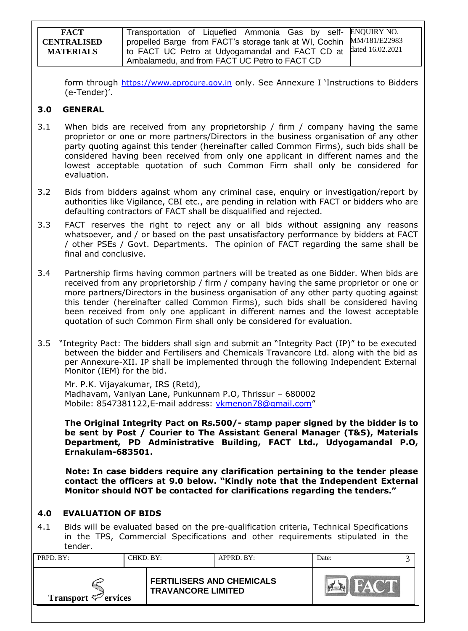| <b>FACT</b>        | Transportation of Liquefied Ammonia Gas by self- ENQUIRY NO.         |  |
|--------------------|----------------------------------------------------------------------|--|
| <b>CENTRALISED</b> | propelled Barge from FACT's storage tank at WI, Cochin MM/181/E22983 |  |
| <b>MATERIALS</b>   | to FACT UC Petro at Udyogamandal and FACT CD at dated 16.02.2021     |  |
|                    | Ambalamedu, and from FACT UC Petro to FACT CD                        |  |

form through [https://www.eprocure.gov.in](https://www.eprocure.gov.in/) only. See Annexure I 'Instructions to Bidders (e-Tender)'.

### **3.0 GENERAL**

- 3.1 When bids are received from any proprietorship / firm / company having the same proprietor or one or more partners/Directors in the business organisation of any other party quoting against this tender (hereinafter called Common Firms), such bids shall be considered having been received from only one applicant in different names and the lowest acceptable quotation of such Common Firm shall only be considered for evaluation.
- 3.2 Bids from bidders against whom any criminal case, enquiry or investigation/report by authorities like Vigilance, CBI etc., are pending in relation with FACT or bidders who are defaulting contractors of FACT shall be disqualified and rejected.
- 3.3 FACT reserves the right to reject any or all bids without assigning any reasons whatsoever, and / or based on the past unsatisfactory performance by bidders at FACT / other PSEs / Govt. Departments. The opinion of FACT regarding the same shall be final and conclusive.
- 3.4 Partnership firms having common partners will be treated as one Bidder. When bids are received from any proprietorship / firm / company having the same proprietor or one or more partners/Directors in the business organisation of any other party quoting against this tender (hereinafter called Common Firms), such bids shall be considered having been received from only one applicant in different names and the lowest acceptable quotation of such Common Firm shall only be considered for evaluation.
- 3.5 "Integrity Pact: The bidders shall sign and submit an "Integrity Pact (IP)" to be executed between the bidder and Fertilisers and Chemicals Travancore Ltd. along with the bid as per Annexure-XII. IP shall be implemented through the following Independent External Monitor (IEM) for the bid.

Mr. P.K. Vijayakumar, IRS (Retd), Madhavam, Vaniyan Lane, Punkunnam P.O, Thrissur – 680002 Mobile: [8547381122,](callto:8547381122)E-mail address: [vkmenon78@gmail.com](mailto:vkmenon78@gmail.com)"

**The Original Integrity Pact on Rs.500/- stamp paper signed by the bidder is to be sent by Post / Courier to The Assistant General Manager (T&S), Materials Department, PD Administrative Building, FACT Ltd., Udyogamandal P.O, Ernakulam-683501.**

 **Note: In case bidders require any clarification pertaining to the tender please contact the officers at 9.0 below. "Kindly note that the Independent External Monitor should NOT be contacted for clarifications regarding the tenders."**

## **4.0 EVALUATION OF BIDS**

4.1 Bids will be evaluated based on the pre-qualification criteria, Technical Specifications in the TPS, Commercial Specifications and other requirements stipulated in the tender.

| PRPD. BY:                       | CHKD. BY: |                                                               | APPRD. BY: | Date: |  |
|---------------------------------|-----------|---------------------------------------------------------------|------------|-------|--|
| Transport $\mathcal{P}$ ervices |           | <b>FERTILISERS AND CHEMICALS</b><br><b>TRAVANCORE LIMITED</b> |            |       |  |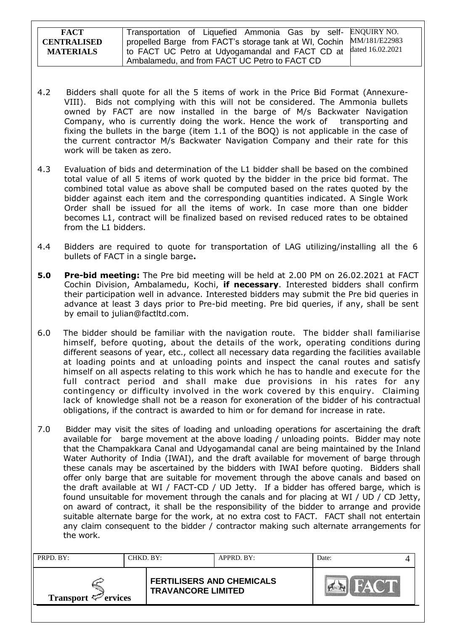| <b>FACT</b>        | Transportation of Liquefied Ammonia Gas by self- ENQUIRY NO.         |                  |
|--------------------|----------------------------------------------------------------------|------------------|
| <b>CENTRALISED</b> | propelled Barge from FACT's storage tank at WI, Cochin MM/181/E22983 |                  |
| <b>MATERIALS</b>   | to FACT UC Petro at Udyogamandal and FACT CD at                      | dated 16.02.2021 |
|                    | Ambalamedu, and from FACT UC Petro to FACT CD                        |                  |

- 4.2 Bidders shall quote for all the 5 items of work in the Price Bid Format (Annexure-VIII). Bids not complying with this will not be considered. The Ammonia bullets owned by FACT are now installed in the barge of M/s Backwater Navigation Company, who is currently doing the work. Hence the work of transporting and fixing the bullets in the barge (item 1.1 of the BOQ) is not applicable in the case of the current contractor M/s Backwater Navigation Company and their rate for this work will be taken as zero.
- 4.3 Evaluation of bids and determination of the L1 bidder shall be based on the combined total value of all 5 items of work quoted by the bidder in the price bid format. The combined total value as above shall be computed based on the rates quoted by the bidder against each item and the corresponding quantities indicated. A Single Work Order shall be issued for all the items of work. In case more than one bidder becomes L1, contract will be finalized based on revised reduced rates to be obtained from the L1 bidders.
- 4.4 Bidders are required to quote for transportation of LAG utilizing/installing all the 6 bullets of FACT in a single barge**.**
- **5.0 Pre-bid meeting:** The Pre bid meeting will be held at 2.00 PM on 26.02.2021 at FACT Cochin Division, Ambalamedu, Kochi, **if necessary**. Interested bidders shall confirm their participation well in advance. Interested bidders may submit the Pre bid queries in advance at least 3 days prior to Pre-bid meeting. Pre bid queries, if any, shall be sent by email to julian@factltd.com.
- 6.0 The bidder should be familiar with the navigation route. The bidder shall familiarise himself, before quoting, about the details of the work, operating conditions during different seasons of year, etc., collect all necessary data regarding the facilities available at loading points and at unloading points and inspect the canal routes and satisfy himself on all aspects relating to this work which he has to handle and execute for the full contract period and shall make due provisions in his rates for any contingency or difficulty involved in the work covered by this enquiry. Claiming lack of knowledge shall not be a reason for exoneration of the bidder of his contractual obligations, if the contract is awarded to him or for demand for increase in rate.
- 7.0 Bidder may visit the sites of loading and unloading operations for ascertaining the draft available for barge movement at the above loading / unloading points. Bidder may note that the Champakkara Canal and Udyogamandal canal are being maintained by the Inland Water Authority of India (IWAI), and the draft available for movement of barge through these canals may be ascertained by the bidders with IWAI before quoting. Bidders shall offer only barge that are suitable for movement through the above canals and based on the draft available at WI / FACT-CD / UD Jetty. If a bidder has offered barge, which is found unsuitable for movement through the canals and for placing at WI / UD / CD Jetty, on award of contract, it shall be the responsibility of the bidder to arrange and provide suitable alternate barge for the work, at no extra cost to FACT. FACT shall not entertain any claim consequent to the bidder / contractor making such alternate arrangements for the work.

| PRPD. BY:                | CHKD. BY: |                                                               | APPRD. BY: | Date: |  |
|--------------------------|-----------|---------------------------------------------------------------|------------|-------|--|
| Transport $\leq$ ervices |           | <b>FERTILISERS AND CHEMICALS</b><br><b>TRAVANCORE LIMITED</b> |            |       |  |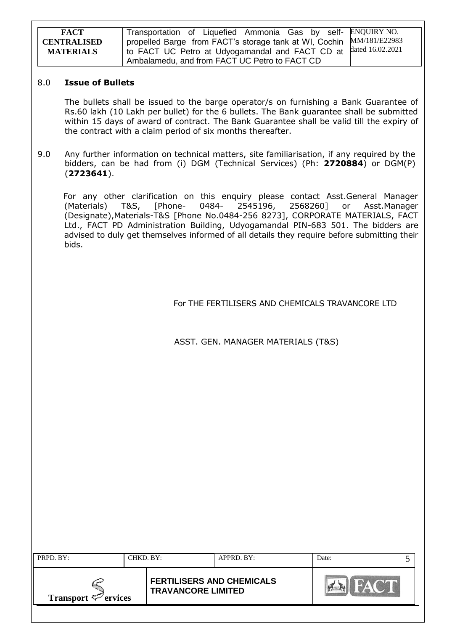| <b>FACT</b>        | Transportation of Liquefied Ammonia Gas by self- ENQUIRY NO.         |  |
|--------------------|----------------------------------------------------------------------|--|
| <b>CENTRALISED</b> | propelled Barge from FACT's storage tank at WI, Cochin MM/181/E22983 |  |
| <b>MATERIALS</b>   | 1 to FACT UC Petro at Udyogamandal and FACT CD at dated 16.02.2021   |  |
|                    | Ambalamedu, and from FACT UC Petro to FACT CD                        |  |

#### 8.0 **Issue of Bullets**

The bullets shall be issued to the barge operator/s on furnishing a Bank Guarantee of Rs.60 lakh (10 Lakh per bullet) for the 6 bullets. The Bank guarantee shall be submitted within 15 days of award of contract. The Bank Guarantee shall be valid till the expiry of the contract with a claim period of six months thereafter.

9.0 Any further information on technical matters, site familiarisation, if any required by the bidders, can be had from (i) DGM (Technical Services) (Ph: **2720884**) or DGM(P) (**2723641**).

 For any other clarification on this enquiry please contact Asst.General Manager (Materials) T&S, [Phone- 0484- 2545196, 2568260] or Asst.Manager (Designate),Materials-T&S [Phone No.0484-256 8273], CORPORATE MATERIALS, FACT Ltd., FACT PD Administration Building, Udyogamandal PIN-683 501. The bidders are advised to duly get themselves informed of all details they require before submitting their bids.

For THE FERTILISERS AND CHEMICALS TRAVANCORE LTD

ASST. GEN. MANAGER MATERIALS (T&S)

| PRPD. BY:                       | CHKD. BY: |                                                               | APPRD. BY: | Date: |  |
|---------------------------------|-----------|---------------------------------------------------------------|------------|-------|--|
| Transport $\mathcal{P}$ ervices |           | <b>FERTILISERS AND CHEMICALS</b><br><b>TRAVANCORE LIMITED</b> |            |       |  |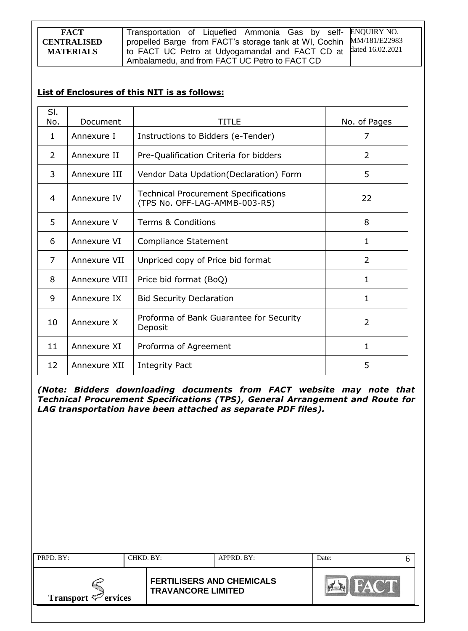Transportation of Liquefied Ammonia Gas by selfpropelled Barge from FACT's storage tank at WI, Cochin to FACT UC Petro at Udyogamandal and FACT CD at Ambalamedu, and from FACT UC Petro to FACT CD ENQUIRY NO. MM/181/E22983 dated 16.02.2021

# **List of Enclosures of this NIT is as follows:**

| SI.<br>No.     | Document      | <b>TITLE</b>                                                                 | No. of Pages |
|----------------|---------------|------------------------------------------------------------------------------|--------------|
| $\mathbf{1}$   | Annexure I    | Instructions to Bidders (e-Tender)                                           | 7            |
| 2              | Annexure II   | Pre-Qualification Criteria for bidders                                       | 2            |
| 3              | Annexure III  | Vendor Data Updation (Declaration) Form                                      | 5            |
| $\overline{4}$ | Annexure IV   | <b>Technical Procurement Specifications</b><br>(TPS No. OFF-LAG-AMMB-003-R5) | 22           |
| 5              | Annexure V    | <b>Terms &amp; Conditions</b>                                                | 8            |
| 6              | Annexure VI   | Compliance Statement                                                         | 1            |
| 7              | Annexure VII  | Unpriced copy of Price bid format                                            | 2            |
| 8              | Annexure VIII | Price bid format (BoQ)                                                       | 1.           |
| 9              | Annexure IX   | <b>Bid Security Declaration</b>                                              | 1            |
| 10             | Annexure X    | Proforma of Bank Guarantee for Security<br>Deposit                           | 2            |
| 11             | Annexure XI   | Proforma of Agreement                                                        | 1            |
| 12             | Annexure XII  | Integrity Pact                                                               | 5            |

*(Note: Bidders downloading documents from FACT website may note that Technical Procurement Specifications (TPS), General Arrangement and Route for LAG transportation have been attached as separate PDF files).*

| PRPD. BY:<br>CHKD. BY:          |  |                                                               | APPRD. BY: | Date: |  |
|---------------------------------|--|---------------------------------------------------------------|------------|-------|--|
| Transport $\mathcal{P}$ ervices |  | <b>FERTILISERS AND CHEMICALS</b><br><b>TRAVANCORE LIMITED</b> |            |       |  |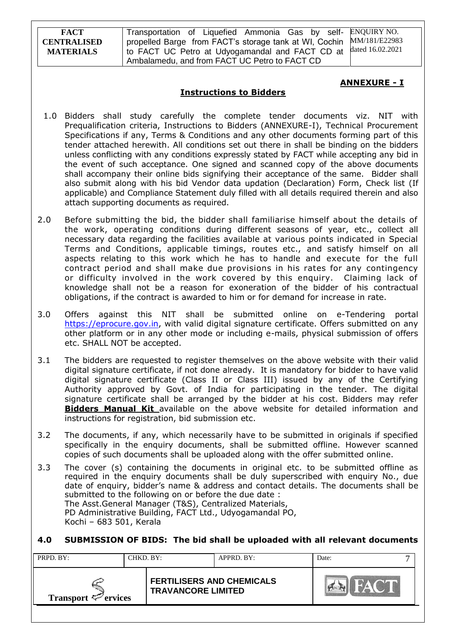Transportation of Liquefied Ammonia Gas by selfpropelled Barge from FACT's storage tank at WI, Cochin to FACT UC Petro at Udyogamandal and FACT CD at Ambalamedu, and from FACT UC Petro to FACT CD ENQUIRY NO. MM/181/E22983 dated 16.02.2021

### **ANNEXURE - I**

### **Instructions to Bidders**

- 1.0 Bidders shall study carefully the complete tender documents viz. NIT with Prequalification criteria, Instructions to Bidders (ANNEXURE-I), Technical Procurement Specifications if any, Terms & Conditions and any other documents forming part of this tender attached herewith. All conditions set out there in shall be binding on the bidders unless conflicting with any conditions expressly stated by FACT while accepting any bid in the event of such acceptance. One signed and scanned copy of the above documents shall accompany their online bids signifying their acceptance of the same. Bidder shall also submit along with his bid Vendor data updation (Declaration) Form, Check list (If applicable) and Compliance Statement duly filled with all details required therein and also attach supporting documents as required.
- 2.0 Before submitting the bid, the bidder shall familiarise himself about the details of the work, operating conditions during different seasons of year, etc., collect all necessary data regarding the facilities available at various points indicated in Special Terms and Conditions, applicable timings, routes etc., and satisfy himself on all aspects relating to this work which he has to handle and execute for the full contract period and shall make due provisions in his rates for any contingency or difficulty involved in the work covered by this enquiry. Claiming lack of knowledge shall not be a reason for exoneration of the bidder of his contractual obligations, if the contract is awarded to him or for demand for increase in rate.
- 3.0 Offers against this NIT shall be submitted online on e-Tendering portal [https://eprocure.gov.in,](https://eprocure.gov.in/) with valid digital signature certificate. Offers submitted on any other platform or in any other mode or including e-mails, physical submission of offers etc. SHALL NOT be accepted.
- 3.1 The bidders are requested to register themselves on the above website with their valid digital signature certificate, if not done already. It is mandatory for bidder to have valid digital signature certificate (Class II or Class III) issued by any of the Certifying Authority approved by Govt. of India for participating in the tender. The digital signature certificate shall be arranged by the bidder at his cost. Bidders may refer **Bidders Manual Kit** available on the above website for detailed information and instructions for registration, bid submission etc.
- 3.2 The documents, if any, which necessarily have to be submitted in originals if specified specifically in the enquiry documents, shall be submitted offline. However scanned copies of such documents shall be uploaded along with the offer submitted online.
- 3.3 The cover (s) containing the documents in original etc. to be submitted offline as required in the enquiry documents shall be duly superscribed with enquiry No., due date of enquiry, bidder"s name & address and contact details. The documents shall be submitted to the following on or before the due date : The Asst.General Manager (T&S), Centralized Materials, PD Administrative Building, FACT Ltd., Udyogamandal PO, Kochi – 683 501, Kerala

### **4.0 SUBMISSION OF BIDS: The bid shall be uploaded with all relevant documents**

| PRPD. BY:                |  | CHKD. BY:                                                     | APPRD. BY: | Date: |  |
|--------------------------|--|---------------------------------------------------------------|------------|-------|--|
| Transport $\leq$ ervices |  | <b>FERTILISERS AND CHEMICALS</b><br><b>TRAVANCORE LIMITED</b> |            |       |  |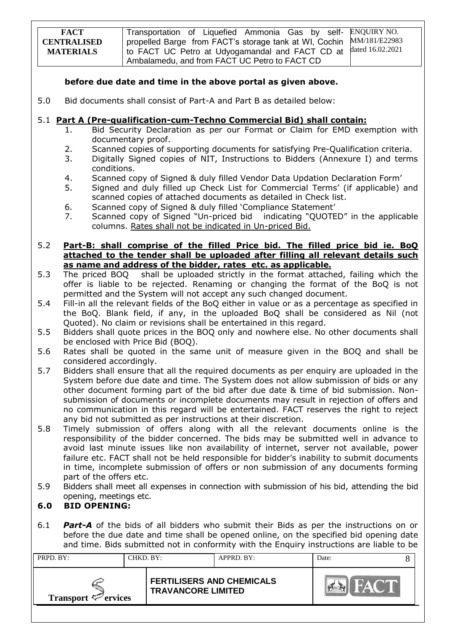| <b>FACT</b>        | Transportation of Liquefied Ammonia Gas by self- ENQUIRY NO.         |  |
|--------------------|----------------------------------------------------------------------|--|
| <b>CENTRALISED</b> | propelled Barge from FACT's storage tank at WI, Cochin MM/181/E22983 |  |
| <b>MATERIALS</b>   | I to FACT UC Petro at Udyogamandal and FACT CD at dated 16.02.2021   |  |
|                    | Ambalamedu, and from FACT UC Petro to FACT CD                        |  |

### **before due date and time in the above portal as given above.**

5.0 Bid documents shall consist of Part-A and Part B as detailed below:

### 5.1 **Part A (Pre-qualification-cum-Techno Commercial Bid) shall contain:**

- 1. Bid Security Declaration as per our Format or Claim for EMD exemption with documentary proof.
- 2. Scanned copies of supporting documents for satisfying Pre-Qualification criteria.
- 3. Digitally Signed copies of NIT, Instructions to Bidders (Annexure I) and terms conditions.
- 4. Scanned copy of Signed & duly filled Vendor Data Updation Declaration Form"
- 5. Signed and duly filled up Check List for Commercial Terms" (if applicable) and scanned copies of attached documents as detailed in Check list.
- 6. Scanned copy of Signed & duly filled "Compliance Statement"
- 7. Scanned copy of Signed "Un-priced bid indicating "QUOTED" in the applicable columns. Rates shall not be indicated in Un-priced Bid.

#### 5.2 **Part-B: shall comprise of the filled Price bid. The filled price bid ie. BoQ attached to the tender shall be uploaded after filling all relevant details such as name and address of the bidder, rates etc. as applicable.**

- 5.3 The priced BOQ shall be uploaded strictly in the format attached, failing which the offer is liable to be rejected. Renaming or changing the format of the BoQ is not permitted and the System will not accept any such changed document.
- 5.4 Fill-in all the relevant fields of the BoQ either in value or as a percentage as specified in the BoQ. Blank field, if any, in the uploaded BoQ shall be considered as Nil (not Quoted). No claim or revisions shall be entertained in this regard.
- 5.5 Bidders shall quote prices in the BOQ only and nowhere else. No other documents shall be enclosed with Price Bid (BOQ).
- 5.6 Rates shall be quoted in the same unit of measure given in the BOQ and shall be considered accordingly.
- 5.7 Bidders shall ensure that all the required documents as per enquiry are uploaded in the System before due date and time. The System does not allow submission of bids or any other document forming part of the bid after due date & time of bid submission. Nonsubmission of documents or incomplete documents may result in rejection of offers and no communication in this regard will be entertained. FACT reserves the right to reject any bid not submitted as per instructions at their discretion.
- 5.8 Timely submission of offers along with all the relevant documents online is the responsibility of the bidder concerned. The bids may be submitted well in advance to avoid last minute issues like non availability of internet, server not available, power failure etc. FACT shall not be held responsible for bidder's inability to submit documents in time, incomplete submission of offers or non submission of any documents forming part of the offers etc.
- 5.9 Bidders shall meet all expenses in connection with submission of his bid, attending the bid opening, meetings etc.

## **6.0 BID OPENING:**

6.1 *Part-A* of the bids of all bidders who submit their Bids as per the instructions on or before the due date and time shall be opened online, on the specified bid opening date and time. Bids submitted not in conformity with the Enquiry instructions are liable to be

| PRPD. BY:                       |  | CHKD. BY:                                                     | APPRD. BY: | Date: |  |
|---------------------------------|--|---------------------------------------------------------------|------------|-------|--|
| Transport $\mathcal{P}$ ervices |  | <b>FERTILISERS AND CHEMICALS</b><br><b>TRAVANCORE LIMITED</b> |            |       |  |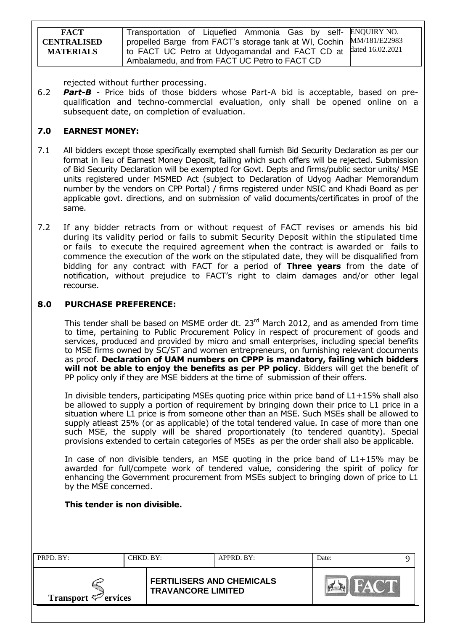| <b>FACT</b>        | Transportation of Liquefied Ammonia Gas by self- ENQUIRY NO.         |  |
|--------------------|----------------------------------------------------------------------|--|
| <b>CENTRALISED</b> | propelled Barge from FACT's storage tank at WI, Cochin MM/181/E22983 |  |
| <b>MATERIALS</b>   | I to FACT UC Petro at Udyogamandal and FACT CD at dated 16.02.2021   |  |
|                    | Ambalamedu, and from FACT UC Petro to FACT CD                        |  |

rejected without further processing.

6.2 *Part-B* - Price bids of those bidders whose Part-A bid is acceptable, based on prequalification and techno-commercial evaluation, only shall be opened online on a subsequent date, on completion of evaluation.

# **7.0 EARNEST MONEY:**

- 7.1 All bidders except those specifically exempted shall furnish Bid Security Declaration as per our format in lieu of Earnest Money Deposit, failing which such offers will be rejected. Submission of Bid Security Declaration will be exempted for Govt. Depts and firms/public sector units/ MSE units registered under MSMED Act (subject to Declaration of Udyog Aadhar Memorandum number by the vendors on CPP Portal) / firms registered under NSIC and Khadi Board as per applicable govt. directions, and on submission of valid documents/certificates in proof of the same.
- 7.2 If any bidder retracts from or without request of FACT revises or amends his bid during its validity period or fails to submit Security Deposit within the stipulated time or fails to execute the required agreement when the contract is awarded or fails to commence the execution of the work on the stipulated date, they will be disqualified from bidding for any contract with FACT for a period of **Three years** from the date of notification, without prejudice to FACT"s right to claim damages and/or other legal recourse.

### **8.0 PURCHASE PREFERENCE:**

This tender shall be based on MSME order dt. 23<sup>rd</sup> March 2012, and as amended from time to time, pertaining to Public Procurement Policy in respect of procurement of goods and services, produced and provided by micro and small enterprises, including special benefits to MSE firms owned by SC/ST and women entrepreneurs, on furnishing relevant documents as proof. **Declaration of UAM numbers on CPPP is mandatory, failing which bidders will not be able to enjoy the benefits as per PP policy**. Bidders will get the benefit of PP policy only if they are MSE bidders at the time of submission of their offers.

In divisible tenders, participating MSEs quoting price within price band of L1+15% shall also be allowed to supply a portion of requirement by bringing down their price to L1 price in a situation where L1 price is from someone other than an MSE. Such MSEs shall be allowed to supply atleast 25% (or as applicable) of the total tendered value. In case of more than one such MSE, the supply will be shared proportionately (to tendered quantity). Special provisions extended to certain categories of MSEs as per the order shall also be applicable.

In case of non divisible tenders, an MSE quoting in the price band of L1+15% may be awarded for full/compete work of tendered value, considering the spirit of policy for enhancing the Government procurement from MSEs subject to bringing down of price to L1 by the MSE concerned.

### **This tender is non divisible.**

| PRPD. BY:<br>CHKD. BY:   |  |                                                               | APPRD. BY: | Date: |  |
|--------------------------|--|---------------------------------------------------------------|------------|-------|--|
| Transport $\leq$ ervices |  | <b>FERTILISERS AND CHEMICALS</b><br><b>TRAVANCORE LIMITED</b> |            |       |  |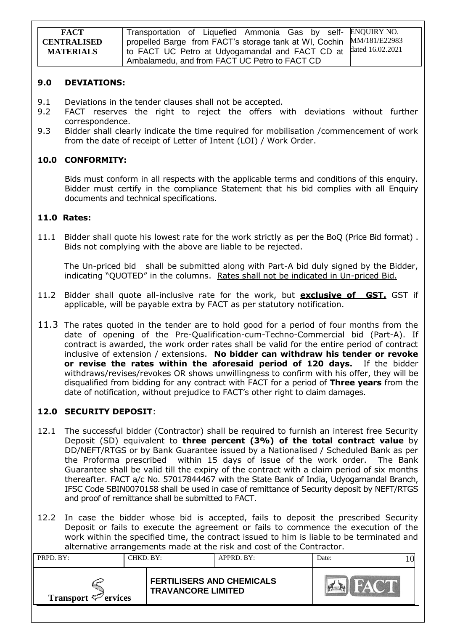| <b>FACT</b>        | Transportation of Liquefied Ammonia Gas by self- ENQUIRY NO.                  |  |
|--------------------|-------------------------------------------------------------------------------|--|
| <b>CENTRALISED</b> | I propelled Barge from FACT's storage tank at WI, Cochin MM/181/E22983        |  |
| <b>MATERIALS</b>   | <sup>1</sup> to FACT UC Petro at Udyogamandal and FACT CD at dated 16.02.2021 |  |
|                    | Ambalamedu, and from FACT UC Petro to FACT CD                                 |  |

#### **9.0 DEVIATIONS:**

- 9.1 Deviations in the tender clauses shall not be accepted.
- 9.2 FACT reserves the right to reject the offers with deviations without further correspondence.
- 9.3 Bidder shall clearly indicate the time required for mobilisation /commencement of work from the date of receipt of Letter of Intent (LOI) / Work Order.

### **10.0 CONFORMITY:**

Bids must conform in all respects with the applicable terms and conditions of this enquiry. Bidder must certify in the compliance Statement that his bid complies with all Enquiry documents and technical specifications.

### **11.0 Rates:**

11.1 Bidder shall quote his lowest rate for the work strictly as per the BoQ (Price Bid format) . Bids not complying with the above are liable to be rejected.

The Un-priced bid shall be submitted along with Part-A bid duly signed by the Bidder, indicating "QUOTED" in the columns. Rates shall not be indicated in Un-priced Bid.

- 11.2 Bidder shall quote all-inclusive rate for the work, but **exclusive of GST.** GST if applicable, will be payable extra by FACT as per statutory notification.
- 11.3 The rates quoted in the tender are to hold good for a period of four months from the date of opening of the Pre-Qualification-cum-Techno-Commercial bid (Part-A). If contract is awarded, the work order rates shall be valid for the entire period of contract inclusive of extension / extensions. **No bidder can withdraw his tender or revoke or revise the rates within the aforesaid period of 120 days.** If the bidder withdraws/revises/revokes OR shows unwillingness to confirm with his offer, they will be disqualified from bidding for any contract with FACT for a period of **Three years** from the date of notification, without prejudice to FACT"s other right to claim damages.

## **12.0 SECURITY DEPOSIT**:

- 12.1 The successful bidder (Contractor) shall be required to furnish an interest free Security Deposit (SD) equivalent to **three percent (3%) of the total contract value** by DD/NEFT/RTGS or by Bank Guarantee issued by a Nationalised / Scheduled Bank as per the Proforma prescribed within 15 days of issue of the work order. The Bank Guarantee shall be valid till the expiry of the contract with a claim period of six months thereafter. FACT a/c No. 57017844467 with the State Bank of India, Udyogamandal Branch, IFSC Code SBIN0070158 shall be used in case of remittance of Security deposit by NEFT/RTGS and proof of remittance shall be submitted to FACT.
- 12.2 In case the bidder whose bid is accepted, fails to deposit the prescribed Security Deposit or fails to execute the agreement or fails to commence the execution of the work within the specified time, the contract issued to him is liable to be terminated and alternative arrangements made at the risk and cost of the Contractor.

| <b>FERTILISERS AND CHEMICALS</b> | PRPD. BY: | CHKD. BY:                 | APPRD. BY: | Date: |  |
|----------------------------------|-----------|---------------------------|------------|-------|--|
| Transport $\mathcal{P}$ ervices  |           | <b>TRAVANCORE LIMITED</b> |            |       |  |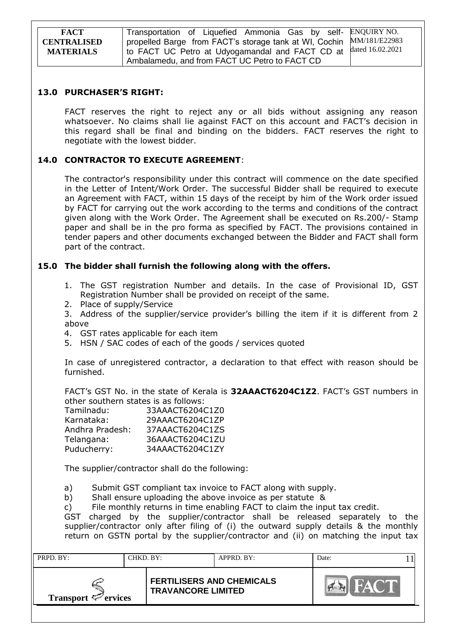Transportation of Liquefied Ammonia Gas by selfpropelled Barge from FACT's storage tank at WI, Cochin to FACT UC Petro at Udyogamandal and FACT CD at Ambalamedu, and from FACT UC Petro to FACT CD ENQUIRY NO. MM/181/E22983 dated 16.02.2021

### **13.0 PURCHASER'S RIGHT:**

FACT reserves the right to reject any or all bids without assigning any reason whatsoever. No claims shall lie against FACT on this account and FACT"s decision in this regard shall be final and binding on the bidders. FACT reserves the right to negotiate with the lowest bidder.

### **14.0 CONTRACTOR TO EXECUTE AGREEMENT**:

The contractor's responsibility under this contract will commence on the date specified in the Letter of Intent/Work Order. The successful Bidder shall be required to execute an Agreement with FACT, within 15 days of the receipt by him of the Work order issued by FACT for carrying out the work according to the terms and conditions of the contract given along with the Work Order. The Agreement shall be executed on Rs.200/- Stamp paper and shall be in the pro forma as specified by FACT. The provisions contained in tender papers and other documents exchanged between the Bidder and FACT shall form part of the contract.

### **15.0 The bidder shall furnish the following along with the offers.**

- 1. The GST registration Number and details. In the case of Provisional ID, GST Registration Number shall be provided on receipt of the same.
- 2. Place of supply/Service

3. Address of the supplier/service provider"s billing the item if it is different from 2 above

- 4. GST rates applicable for each item
- 5. HSN / SAC codes of each of the goods / services quoted

In case of unregistered contractor, a declaration to that effect with reason should be furnished.

FACT"s GST No. in the state of Kerala is **32AAACT6204C1Z2**. FACT"s GST numbers in other southern states is as follows:

| Tamilnadu:      | 33AAACT6204C1Z0 |
|-----------------|-----------------|
| Karnataka:      | 29AAACT6204C1ZP |
| Andhra Pradesh: | 37AAACT6204C1ZS |
| Telangana:      | 36AAACT6204C1ZU |
| Puducherry:     | 34AAACT6204C1ZY |

The supplier/contractor shall do the following:

a) Submit GST compliant tax invoice to FACT along with supply.

b) Shall ensure uploading the above invoice as per statute &

c) File monthly returns in time enabling FACT to claim the input tax credit.

GST charged by the supplier/contractor shall be released separately to the supplier/contractor only after filing of (i) the outward supply details & the monthly return on GSTN portal by the supplier/contractor and (ii) on matching the input tax

| PRPD. BY:<br>CHKD. BY:   |  |                                                               | APPRD. BY: | Date: |  |
|--------------------------|--|---------------------------------------------------------------|------------|-------|--|
| Transport $\leq$ ervices |  | <b>FERTILISERS AND CHEMICALS</b><br><b>TRAVANCORE LIMITED</b> |            |       |  |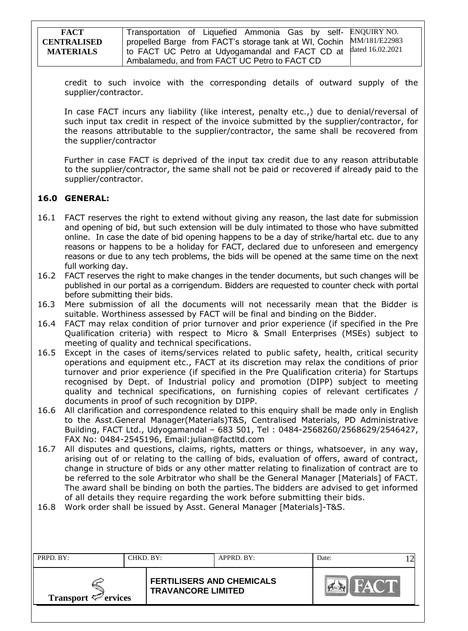| <b>FACT</b>        | Transportation of Liquefied Ammonia Gas by self- ENQUIRY NO.                  |  |
|--------------------|-------------------------------------------------------------------------------|--|
| <b>CENTRALISED</b> | I propelled Barge from FACT's storage tank at WI, Cochin MM/181/E22983        |  |
| <b>MATERIALS</b>   | <sup>1</sup> to FACT UC Petro at Udyogamandal and FACT CD at dated 16.02.2021 |  |
|                    | Ambalamedu, and from FACT UC Petro to FACT CD                                 |  |

credit to such invoice with the corresponding details of outward supply of the supplier/contractor.

In case FACT incurs any liability (like interest, penalty etc.,) due to denial/reversal of such input tax credit in respect of the invoice submitted by the supplier/contractor, for the reasons attributable to the supplier/contractor, the same shall be recovered from the supplier/contractor

Further in case FACT is deprived of the input tax credit due to any reason attributable to the supplier/contractor, the same shall not be paid or recovered if already paid to the supplier/contractor.

## **16.0 GENERAL:**

- 16.1 FACT reserves the right to extend without giving any reason, the last date for submission and opening of bid, but such extension will be duly intimated to those who have submitted online. In case the date of bid opening happens to be a day of strike/hartal etc. due to any reasons or happens to be a holiday for FACT, declared due to unforeseen and emergency reasons or due to any tech problems, the bids will be opened at the same time on the next full working day.
- 16.2 FACT reserves the right to make changes in the tender documents, but such changes will be published in our portal as a corrigendum. Bidders are requested to counter check with portal before submitting their bids.
- 16.3 Mere submission of all the documents will not necessarily mean that the Bidder is suitable. Worthiness assessed by FACT will be final and binding on the Bidder.
- 16.4 FACT may relax condition of prior turnover and prior experience (if specified in the Pre Qualification criteria) with respect to Micro & Small Enterprises (MSEs) subject to meeting of quality and technical specifications.
- 16.5 Except in the cases of items/services related to public safety, health, critical security operations and equipment etc., FACT at its discretion may relax the conditions of prior turnover and prior experience (if specified in the Pre Qualification criteria) for Startups recognised by Dept. of Industrial policy and promotion (DIPP) subject to meeting quality and technical specifications, on furnishing copies of relevant certificates / documents in proof of such recognition by DIPP.
- 16.6 All clarification and correspondence related to this enquiry shall be made only in English to the Asst.General Manager(Materials)T&S, Centralised Materials, PD Administrative Building, FACT Ltd., Udyogamandal – 683 501, Tel : 0484-2568260/2568629/2546427, FAX No: 0484-2545196, Email:julian@factltd.com
- 16.7 All disputes and questions, claims, rights, matters or things, whatsoever, in any way, arising out of or relating to the calling of bids, evaluation of offers, award of contract, change in structure of bids or any other matter relating to finalization of contract are to be referred to the sole Arbitrator who shall be the General Manager [Materials] of FACT. The award shall be binding on both the parties. The bidders are advised to get informed of all details they require regarding the work before submitting their bids.

16.8 Work order shall be issued by Asst. General Manager [Materials]-T&S.

| PRPD. BY:<br>CHKD. BY:   |  |                                                               | APPRD. BY: | Date: |  |
|--------------------------|--|---------------------------------------------------------------|------------|-------|--|
| Transport $\leq$ ervices |  | <b>FERTILISERS AND CHEMICALS</b><br><b>TRAVANCORE LIMITED</b> |            |       |  |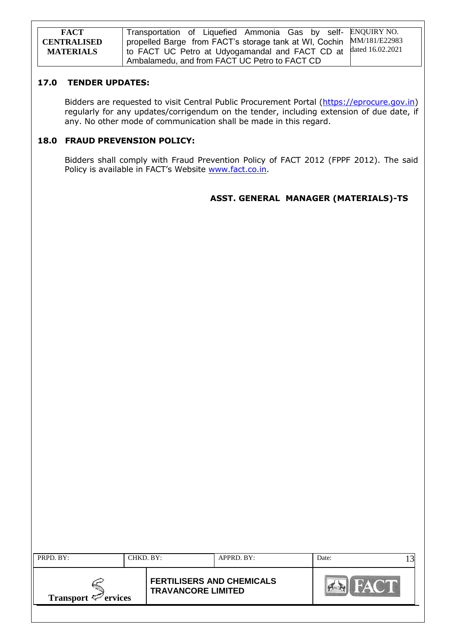| <b>FACT</b>                            | Transportation of Liquefied Ammonia Gas by self- ENQUIRY NO.                                                                               |  |
|----------------------------------------|--------------------------------------------------------------------------------------------------------------------------------------------|--|
| <b>CENTRALISED</b><br><b>MATERIALS</b> | propelled Barge from FACT's storage tank at WI, Cochin MM/181/E22983<br>1 to FACT UC Petro at Udyogamandal and FACT CD at dated 16.02.2021 |  |
|                                        | Ambalamedu, and from FACT UC Petro to FACT CD                                                                                              |  |

#### **17.0 TENDER UPDATES:**

Bidders are requested to visit Central Public Procurement Portal [\(https://eprocure.gov.in\)](https://eprocure.gov.in/) regularly for any updates/corrigendum on the tender, including extension of due date, if any. No other mode of communication shall be made in this regard.

## **18.0 FRAUD PREVENSION POLICY:**

Bidders shall comply with Fraud Prevention Policy of FACT 2012 (FPPF 2012). The said Policy is available in FACT's Website [www.fact.co.in.](http://www.fact.co.in/)

## **ASST. GENERAL MANAGER (MATERIALS)-TS**

| PRPD. BY:                                  | CHKD. BY: |                           | APPRD. BY:                       | Date: | 3 |
|--------------------------------------------|-----------|---------------------------|----------------------------------|-------|---|
| <b>Transport <math>\leq</math> ervices</b> |           | <b>TRAVANCORE LIMITED</b> | <b>FERTILISERS AND CHEMICALS</b> |       |   |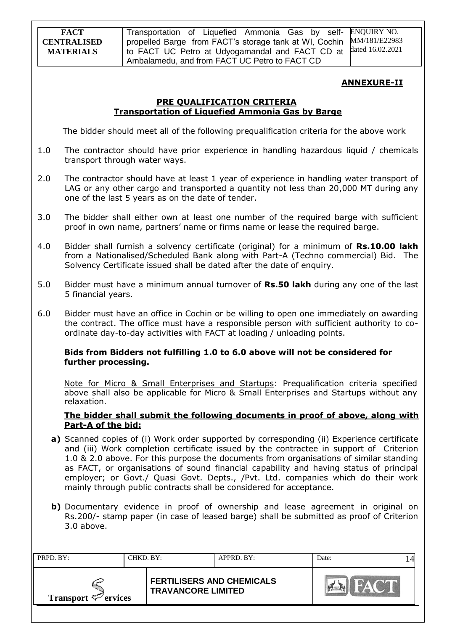Transportation of Liquefied Ammonia Gas by selfpropelled Barge from FACT's storage tank at WI, Cochin to FACT UC Petro at Udyogamandal and FACT CD at Ambalamedu, and from FACT UC Petro to FACT CD ENQUIRY NO. MM/181/E22983 dated 16.02.2021

### **ANNEXURE-II**

### **PRE QUALIFICATION CRITERIA Transportation of Liquefied Ammonia Gas by Barge**

The bidder should meet all of the following prequalification criteria for the above work

- 1.0 The contractor should have prior experience in handling hazardous liquid / chemicals transport through water ways.
- 2.0 The contractor should have at least 1 year of experience in handling water transport of LAG or any other cargo and transported a quantity not less than 20,000 MT during any one of the last 5 years as on the date of tender.
- 3.0 The bidder shall either own at least one number of the required barge with sufficient proof in own name, partners' name or firms name or lease the required barge.
- 4.0 Bidder shall furnish a solvency certificate (original) for a minimum of **Rs.10.00 lakh** from a Nationalised/Scheduled Bank along with Part-A (Techno commercial) Bid. The Solvency Certificate issued shall be dated after the date of enquiry.
- 5.0 Bidder must have a minimum annual turnover of **Rs.50 lakh** during any one of the last 5 financial years.
- 6.0 Bidder must have an office in Cochin or be willing to open one immediately on awarding the contract. The office must have a responsible person with sufficient authority to coordinate day-to-day activities with FACT at loading / unloading points.

### **Bids from Bidders not fulfilling 1.0 to 6.0 above will not be considered for further processing.**

 Note for Micro & Small Enterprises and Startups: Prequalification criteria specified above shall also be applicable for Micro & Small Enterprises and Startups without any relaxation.

### **The bidder shall submit the following documents in proof of above, along with Part-A of the bid:**

- **a)** Scanned copies of (i) Work order supported by corresponding (ii) Experience certificate and (iii) Work completion certificate issued by the contractee in support of Criterion 1.0 & 2.0 above. For this purpose the documents from organisations of similar standing as FACT, or organisations of sound financial capability and having status of principal employer; or Govt./ Quasi Govt. Depts., /Pvt. Ltd. companies which do their work mainly through public contracts shall be considered for acceptance.
- **b)** Documentary evidence in proof of ownership and lease agreement in original on Rs.200/- stamp paper (in case of leased barge) shall be submitted as proof of Criterion 3.0 above.

| PRPD. BY:<br>CHKD. BY:          |  | APPRD. BY:                                                    |  | Date: |  |
|---------------------------------|--|---------------------------------------------------------------|--|-------|--|
| Transport $\mathcal{P}$ ervices |  | <b>FERTILISERS AND CHEMICALS</b><br><b>TRAVANCORE LIMITED</b> |  |       |  |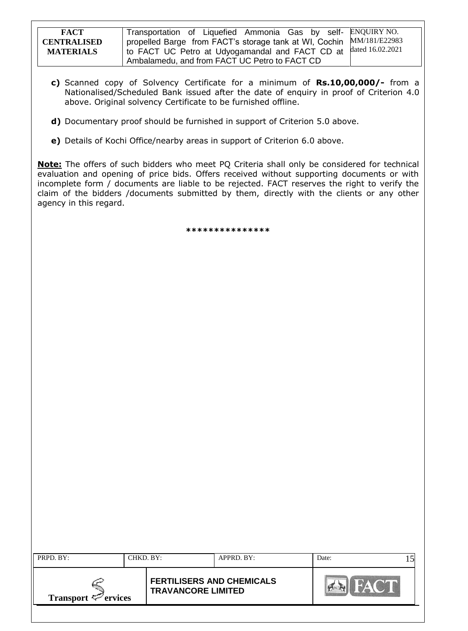| <b>FACT</b>        | Transportation of Liquefied Ammonia Gas by self- ENQUIRY NO.           |  |
|--------------------|------------------------------------------------------------------------|--|
| <b>CENTRALISED</b> | I propelled Barge from FACT's storage tank at WI, Cochin MM/181/E22983 |  |
| <b>MATERIALS</b>   | I to FACT UC Petro at Udyogamandal and FACT CD at dated 16.02.2021     |  |
|                    | Ambalamedu, and from FACT UC Petro to FACT CD                          |  |

- **c)** Scanned copy of Solvency Certificate for a minimum of **Rs.10,00,000/-** from a Nationalised/Scheduled Bank issued after the date of enquiry in proof of Criterion 4.0 above. Original solvency Certificate to be furnished offline.
- **d)** Documentary proof should be furnished in support of Criterion 5.0 above.
- **e)** Details of Kochi Office/nearby areas in support of Criterion 6.0 above.

**Note:** The offers of such bidders who meet PQ Criteria shall only be considered for technical evaluation and opening of price bids. Offers received without supporting documents or with incomplete form / documents are liable to be rejected. FACT reserves the right to verify the claim of the bidders /documents submitted by them, directly with the clients or any other agency in this regard.

**\*\*\*\*\*\*\*\*\*\*\*\*\*\*\***

| PRPD. BY:<br>CHKD. BY:   |  | APPRD. BY:                                                    |  | Date: |  |
|--------------------------|--|---------------------------------------------------------------|--|-------|--|
| Transport $\leq$ ervices |  | <b>FERTILISERS AND CHEMICALS</b><br><b>TRAVANCORE LIMITED</b> |  |       |  |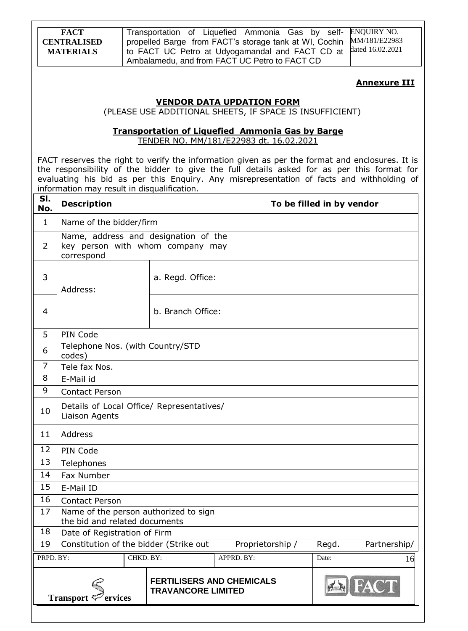Transportation of Liquefied Ammonia Gas by selfpropelled Barge from FACT's storage tank at WI, Cochin to FACT UC Petro at Udyogamandal and FACT CD at Ambalamedu, and from FACT UC Petro to FACT CD ENQUIRY NO. MM/181/E22983 dated 16.02.2021

### **Annexure III**

### **VENDOR DATA UPDATION FORM**

(PLEASE USE ADDITIONAL SHEETS, IF SPACE IS INSUFFICIENT)

### **Transportation of Liquefied Ammonia Gas by Barge**

TENDER NO. MM/181/E22983 dt. 16.02.2021

FACT reserves the right to verify the information given as per the format and enclosures. It is the responsibility of the bidder to give the full details asked for as per this format for evaluating his bid as per this Enquiry. Any misrepresentation of facts and withholding of information may result in disqualification.

| SI.<br>No.     | <b>Description</b>                                                     |                  |                                                                          |  |                  | To be filled in by vendor |              |
|----------------|------------------------------------------------------------------------|------------------|--------------------------------------------------------------------------|--|------------------|---------------------------|--------------|
| $\mathbf{1}$   | Name of the bidder/firm                                                |                  |                                                                          |  |                  |                           |              |
| 2              | correspond                                                             |                  | Name, address and designation of the<br>key person with whom company may |  |                  |                           |              |
| 3              | Address:                                                               | a. Regd. Office: |                                                                          |  |                  |                           |              |
| 4              | b. Branch Office:                                                      |                  |                                                                          |  |                  |                           |              |
| 5              | PIN Code                                                               |                  |                                                                          |  |                  |                           |              |
| 6              | Telephone Nos. (with Country/STD<br>codes)                             |                  |                                                                          |  |                  |                           |              |
| $\overline{7}$ | Tele fax Nos.                                                          |                  |                                                                          |  |                  |                           |              |
| 8              | E-Mail id                                                              |                  |                                                                          |  |                  |                           |              |
| 9              | <b>Contact Person</b>                                                  |                  |                                                                          |  |                  |                           |              |
| 10             | Liaison Agents                                                         |                  | Details of Local Office/ Representatives/                                |  |                  |                           |              |
| 11             | Address                                                                |                  |                                                                          |  |                  |                           |              |
| 12             | PIN Code                                                               |                  |                                                                          |  |                  |                           |              |
| 13             | Telephones                                                             |                  |                                                                          |  |                  |                           |              |
| 14             | Fax Number                                                             |                  |                                                                          |  |                  |                           |              |
| 15             | E-Mail ID                                                              |                  |                                                                          |  |                  |                           |              |
| 16             | <b>Contact Person</b>                                                  |                  |                                                                          |  |                  |                           |              |
| 17             | Name of the person authorized to sign<br>the bid and related documents |                  |                                                                          |  |                  |                           |              |
| 18             | Date of Registration of Firm                                           |                  |                                                                          |  |                  |                           |              |
| 19             | Constitution of the bidder (Strike out                                 |                  |                                                                          |  | Proprietorship / | Regd.                     | Partnership/ |
| PRPD. BY:      |                                                                        | CHKD. BY:        |                                                                          |  | APPRD. BY:       | Date:                     | 16           |
|                | Transport $\zeta$<br><sup>7</sup> ervices                              |                  | <b>FERTILISERS AND CHEMICALS</b><br><b>TRAVANCORE LIMITED</b>            |  |                  |                           |              |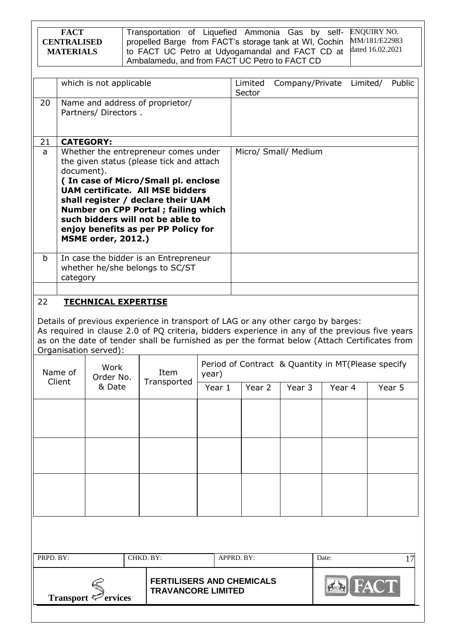|                                                                                                                                                                                                                                                                                                                                                                                                                                     | <b>ENQUIRY NO.</b><br><b>FACT</b><br>Transportation of Liquefied Ammonia Gas by self-<br>MM/181/E22983<br>propelled Barge from FACT's storage tank at WI, Cochin<br><b>CENTRALISED</b><br>dated 16.02.2021<br>to FACT UC Petro at Udyogamandal and FACT CD at<br><b>MATERIALS</b><br>Ambalamedu, and from FACT UC Petro to FACT CD |                                       |           |                                                               |                 |  |                   |                                                    |        |          |        |
|-------------------------------------------------------------------------------------------------------------------------------------------------------------------------------------------------------------------------------------------------------------------------------------------------------------------------------------------------------------------------------------------------------------------------------------|------------------------------------------------------------------------------------------------------------------------------------------------------------------------------------------------------------------------------------------------------------------------------------------------------------------------------------|---------------------------------------|-----------|---------------------------------------------------------------|-----------------|--|-------------------|----------------------------------------------------|--------|----------|--------|
|                                                                                                                                                                                                                                                                                                                                                                                                                                     |                                                                                                                                                                                                                                                                                                                                    | which is not applicable               |           |                                                               |                 |  | Limited<br>Sector | Company/Private                                    |        | Limited/ | Public |
| 20<br>Name and address of proprietor/<br>Partners/ Directors.                                                                                                                                                                                                                                                                                                                                                                       |                                                                                                                                                                                                                                                                                                                                    |                                       |           |                                                               |                 |  |                   |                                                    |        |          |        |
| 21<br><b>CATEGORY:</b><br>Whether the entrepreneur comes under<br>Micro/ Small/ Medium<br>a<br>the given status (please tick and attach<br>document).<br>(In case of Micro/Small pl. enclose<br><b>UAM certificate. All MSE bidders</b><br>shall register / declare their UAM<br><b>Number on CPP Portal; failing which</b><br>such bidders will not be able to<br>enjoy benefits as per PP Policy for<br><b>MSME order, 2012.)</b> |                                                                                                                                                                                                                                                                                                                                    |                                       |           |                                                               |                 |  |                   |                                                    |        |          |        |
| b                                                                                                                                                                                                                                                                                                                                                                                                                                   | In case the bidder is an Entrepreneur<br>whether he/she belongs to SC/ST<br>category                                                                                                                                                                                                                                               |                                       |           |                                                               |                 |  |                   |                                                    |        |          |        |
| 22<br><b>TECHNICAL EXPERTISE</b><br>Details of previous experience in transport of LAG or any other cargo by barges:<br>As required in clause 2.0 of PQ criteria, bidders experience in any of the previous five years<br>as on the date of tender shall be furnished as per the format below (Attach Certificates from<br>Organisation served):<br>Work                                                                            |                                                                                                                                                                                                                                                                                                                                    |                                       |           |                                                               |                 |  |                   | Period of Contract & Quantity in MT(Please specify |        |          |        |
|                                                                                                                                                                                                                                                                                                                                                                                                                                     | Name of<br>Client                                                                                                                                                                                                                                                                                                                  | Order No.<br>& Date                   |           | Item<br>Transported                                           | year)<br>Year 1 |  | Year 2            | Year 3                                             | Year 4 |          | Year 5 |
|                                                                                                                                                                                                                                                                                                                                                                                                                                     |                                                                                                                                                                                                                                                                                                                                    |                                       |           |                                                               |                 |  |                   |                                                    |        |          |        |
| PRPD. BY:                                                                                                                                                                                                                                                                                                                                                                                                                           |                                                                                                                                                                                                                                                                                                                                    |                                       | CHKD. BY: |                                                               | APPRD. BY:      |  |                   |                                                    | Date:  |          | 17     |
|                                                                                                                                                                                                                                                                                                                                                                                                                                     |                                                                                                                                                                                                                                                                                                                                    | Transport $\leq$ <sup>2</sup> ervices |           | <b>FERTILISERS AND CHEMICALS</b><br><b>TRAVANCORE LIMITED</b> |                 |  |                   |                                                    |        |          |        |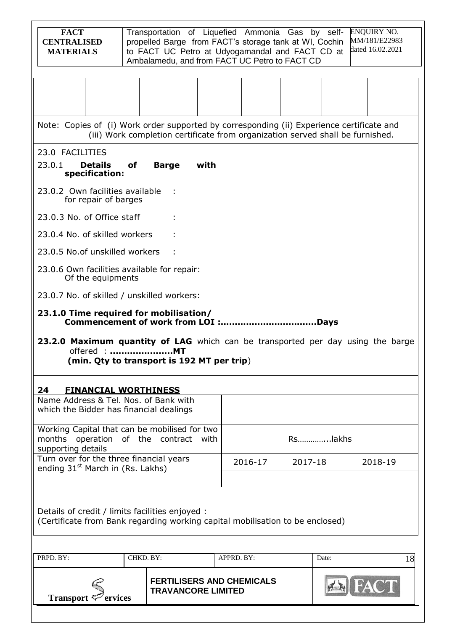| <b>FACT</b><br><b>CENTRALISED</b><br><b>MATERIALS</b>                                                                            |           |                           |      | Transportation of Liquefied Ammonia Gas by self-<br>propelled Barge from FACT's storage tank at WI, Cochin<br>to FACT UC Petro at Udyogamandal and FACT CD at<br>Ambalamedu, and from FACT UC Petro to FACT CD |         |         | <b>ENQUIRY NO.</b><br>MM/181/E22983<br>dated 16.02.2021 |
|----------------------------------------------------------------------------------------------------------------------------------|-----------|---------------------------|------|----------------------------------------------------------------------------------------------------------------------------------------------------------------------------------------------------------------|---------|---------|---------------------------------------------------------|
|                                                                                                                                  |           |                           |      |                                                                                                                                                                                                                |         |         |                                                         |
| Note: Copies of (i) Work order supported by corresponding (ii) Experience certificate and                                        |           |                           |      | (iii) Work completion certificate from organization served shall be furnished.                                                                                                                                 |         |         |                                                         |
| 23.0 FACILITIES                                                                                                                  |           |                           |      |                                                                                                                                                                                                                |         |         |                                                         |
| 23.0.1<br><b>Details</b><br>specification:                                                                                       | of        | <b>Barge</b>              | with |                                                                                                                                                                                                                |         |         |                                                         |
| 23.0.2 Own facilities available<br>for repair of barges                                                                          |           |                           |      |                                                                                                                                                                                                                |         |         |                                                         |
| 23.0.3 No. of Office staff                                                                                                       |           |                           |      |                                                                                                                                                                                                                |         |         |                                                         |
| 23.0.4 No. of skilled workers                                                                                                    |           |                           |      |                                                                                                                                                                                                                |         |         |                                                         |
| 23.0.5 No.of unskilled workers                                                                                                   |           |                           |      |                                                                                                                                                                                                                |         |         |                                                         |
| 23.0.6 Own facilities available for repair:<br>Of the equipments                                                                 |           |                           |      |                                                                                                                                                                                                                |         |         |                                                         |
| 23.0.7 No. of skilled / unskilled workers:                                                                                       |           |                           |      |                                                                                                                                                                                                                |         |         |                                                         |
| 23.1.0 Time required for mobilisation/                                                                                           |           |                           |      |                                                                                                                                                                                                                |         |         |                                                         |
| 23.2.0 Maximum quantity of LAG which can be transported per day using the barge<br>offered : MT                                  |           |                           |      |                                                                                                                                                                                                                |         |         |                                                         |
| (min. Qty to transport is 192 MT per trip)                                                                                       |           |                           |      |                                                                                                                                                                                                                |         |         |                                                         |
| 24<br><b>FINANCIAL WORTHINESS</b>                                                                                                |           |                           |      |                                                                                                                                                                                                                |         |         |                                                         |
| Name Address & Tel. Nos. of Bank with<br>which the Bidder has financial dealings                                                 |           |                           |      |                                                                                                                                                                                                                |         |         |                                                         |
| Working Capital that can be mobilised for two                                                                                    |           |                           |      |                                                                                                                                                                                                                |         |         |                                                         |
| months operation of the contract<br>supporting details                                                                           |           |                           | with |                                                                                                                                                                                                                | Rslakhs |         |                                                         |
| Turn over for the three financial years<br>2016-17<br>2017-18<br>ending 31 <sup>st</sup> March in (Rs. Lakhs)                    |           |                           |      |                                                                                                                                                                                                                |         | 2018-19 |                                                         |
|                                                                                                                                  |           |                           |      |                                                                                                                                                                                                                |         |         |                                                         |
| Details of credit / limits facilities enjoyed :<br>(Certificate from Bank regarding working capital mobilisation to be enclosed) |           |                           |      |                                                                                                                                                                                                                |         |         |                                                         |
|                                                                                                                                  |           |                           |      |                                                                                                                                                                                                                |         |         |                                                         |
| PRPD. BY:                                                                                                                        | CHKD. BY: |                           |      | APPRD. BY:                                                                                                                                                                                                     |         | Date:   | 18                                                      |
| Transport $\mathcal{P}$ ervices                                                                                                  |           | <b>TRAVANCORE LIMITED</b> |      | <b>FERTILISERS AND CHEMICALS</b>                                                                                                                                                                               |         |         |                                                         |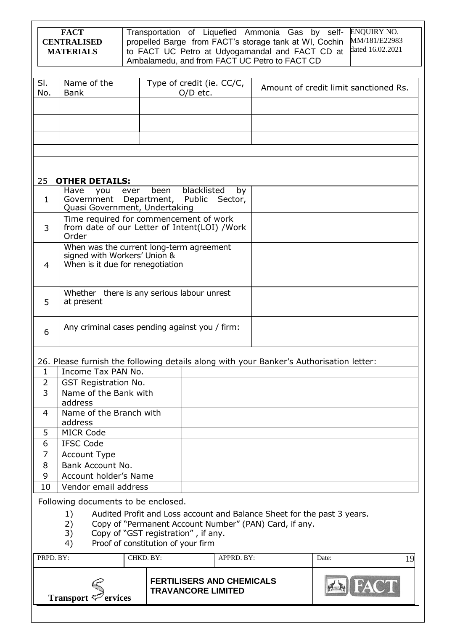|                | <b>FACT</b><br><b>CENTRALISED</b><br><b>MATERIALS</b>                                   |           |                                     |             |                                  | Transportation of Liquefied Ammonia Gas by self-<br>propelled Barge from FACT's storage tank at WI, Cochin<br>to FACT UC Petro at Udyogamandal and FACT CD at<br>Ambalamedu, and from FACT UC Petro to FACT CD |       | <b>ENQUIRY NO.</b><br>MM/181/E22983<br>dated 16.02.2021 |
|----------------|-----------------------------------------------------------------------------------------|-----------|-------------------------------------|-------------|----------------------------------|----------------------------------------------------------------------------------------------------------------------------------------------------------------------------------------------------------------|-------|---------------------------------------------------------|
| SI.            | Name of the                                                                             |           | Type of credit (ie. CC/C,           |             |                                  |                                                                                                                                                                                                                |       | Amount of credit limit sanctioned Rs.                   |
| No.            | <b>Bank</b>                                                                             |           |                                     | $O/D$ etc.  |                                  |                                                                                                                                                                                                                |       |                                                         |
|                |                                                                                         |           |                                     |             |                                  |                                                                                                                                                                                                                |       |                                                         |
|                |                                                                                         |           |                                     |             |                                  |                                                                                                                                                                                                                |       |                                                         |
|                |                                                                                         |           |                                     |             |                                  |                                                                                                                                                                                                                |       |                                                         |
|                |                                                                                         |           |                                     |             |                                  |                                                                                                                                                                                                                |       |                                                         |
|                |                                                                                         |           |                                     |             |                                  |                                                                                                                                                                                                                |       |                                                         |
|                |                                                                                         |           |                                     |             |                                  |                                                                                                                                                                                                                |       |                                                         |
| 25             | <b>OTHER DETAILS:</b>                                                                   |           |                                     |             |                                  |                                                                                                                                                                                                                |       |                                                         |
| $\mathbf{1}$   | Have<br>you<br>Government Department, Public Sector,                                    | ever      | been                                | blacklisted | by                               |                                                                                                                                                                                                                |       |                                                         |
|                | Quasi Government, Undertaking                                                           |           |                                     |             |                                  |                                                                                                                                                                                                                |       |                                                         |
|                | Time required for commencement of work                                                  |           |                                     |             |                                  |                                                                                                                                                                                                                |       |                                                         |
| 3              | from date of our Letter of Intent(LOI) /Work<br>Order                                   |           |                                     |             |                                  |                                                                                                                                                                                                                |       |                                                         |
|                | When was the current long-term agreement                                                |           |                                     |             |                                  |                                                                                                                                                                                                                |       |                                                         |
|                | signed with Workers' Union &                                                            |           |                                     |             |                                  |                                                                                                                                                                                                                |       |                                                         |
| 4              | When is it due for renegotiation                                                        |           |                                     |             |                                  |                                                                                                                                                                                                                |       |                                                         |
|                |                                                                                         |           |                                     |             |                                  |                                                                                                                                                                                                                |       |                                                         |
|                | Whether there is any serious labour unrest                                              |           |                                     |             |                                  |                                                                                                                                                                                                                |       |                                                         |
| 5              | at present                                                                              |           |                                     |             |                                  |                                                                                                                                                                                                                |       |                                                         |
|                |                                                                                         |           |                                     |             |                                  |                                                                                                                                                                                                                |       |                                                         |
| 6              | Any criminal cases pending against you / firm:                                          |           |                                     |             |                                  |                                                                                                                                                                                                                |       |                                                         |
|                | 26. Please furnish the following details along with your Banker's Authorisation letter: |           |                                     |             |                                  |                                                                                                                                                                                                                |       |                                                         |
| $\mathbf{1}$   | Income Tax PAN No.                                                                      |           |                                     |             |                                  |                                                                                                                                                                                                                |       |                                                         |
| 2              | <b>GST Registration No.</b>                                                             |           |                                     |             |                                  |                                                                                                                                                                                                                |       |                                                         |
| $\overline{3}$ | Name of the Bank with<br>address                                                        |           |                                     |             |                                  |                                                                                                                                                                                                                |       |                                                         |
| 4              | Name of the Branch with                                                                 |           |                                     |             |                                  |                                                                                                                                                                                                                |       |                                                         |
| 5              | address<br><b>MICR Code</b>                                                             |           |                                     |             |                                  |                                                                                                                                                                                                                |       |                                                         |
| 6              | <b>IFSC Code</b>                                                                        |           |                                     |             |                                  |                                                                                                                                                                                                                |       |                                                         |
| $\overline{7}$ | Account Type                                                                            |           |                                     |             |                                  |                                                                                                                                                                                                                |       |                                                         |
| 8              | Bank Account No.                                                                        |           |                                     |             |                                  |                                                                                                                                                                                                                |       |                                                         |
| 9              | Account holder's Name                                                                   |           |                                     |             |                                  |                                                                                                                                                                                                                |       |                                                         |
| 10             | Vendor email address                                                                    |           |                                     |             |                                  |                                                                                                                                                                                                                |       |                                                         |
|                | Following documents to be enclosed.                                                     |           |                                     |             |                                  |                                                                                                                                                                                                                |       |                                                         |
|                | 1)                                                                                      |           |                                     |             |                                  | Audited Profit and Loss account and Balance Sheet for the past 3 years.                                                                                                                                        |       |                                                         |
|                | 2)                                                                                      |           |                                     |             |                                  | Copy of "Permanent Account Number" (PAN) Card, if any.                                                                                                                                                         |       |                                                         |
|                | 3)                                                                                      |           | Copy of "GST registration", if any. |             |                                  |                                                                                                                                                                                                                |       |                                                         |
|                | 4)                                                                                      |           | Proof of constitution of your firm  |             |                                  |                                                                                                                                                                                                                |       |                                                         |
| PRPD. BY:      |                                                                                         | CHKD. BY: |                                     |             | APPRD. BY:                       |                                                                                                                                                                                                                | Date: | 19                                                      |
|                | Transport $\mathcal{P}$ ervices                                                         |           | <b>TRAVANCORE LIMITED</b>           |             | <b>FERTILISERS AND CHEMICALS</b> |                                                                                                                                                                                                                |       |                                                         |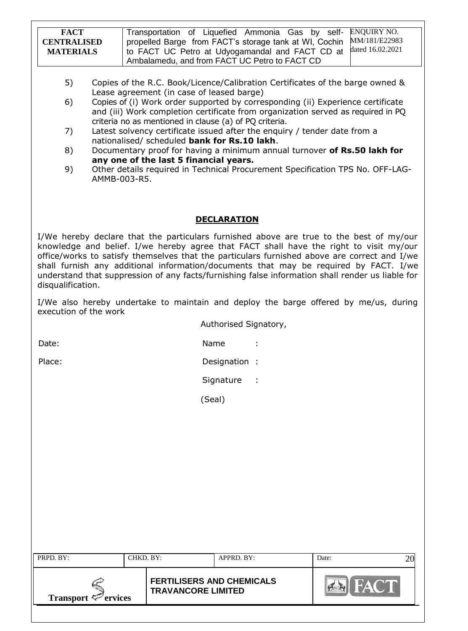| <b>FACT</b><br><b>CENTRALISED</b><br><b>MATERIALS</b> |                                                                                                                                                                                               | Transportation of Liquefied Ammonia Gas by self-<br>propelled Barge from FACT's storage tank at WI, Cochin<br>to FACT UC Petro at Udyogamandal and FACT CD at<br>Ambalamedu, and from FACT UC Petro to FACT CD                                                                                                                                                                                                                                                                                  | <b>ENQUIRY NO.</b><br>MM/181/E22983<br>dated 16.02.2021                                                                                                                                                                                                                                                                                                                                                                                                                                                                                                                |
|-------------------------------------------------------|-----------------------------------------------------------------------------------------------------------------------------------------------------------------------------------------------|-------------------------------------------------------------------------------------------------------------------------------------------------------------------------------------------------------------------------------------------------------------------------------------------------------------------------------------------------------------------------------------------------------------------------------------------------------------------------------------------------|------------------------------------------------------------------------------------------------------------------------------------------------------------------------------------------------------------------------------------------------------------------------------------------------------------------------------------------------------------------------------------------------------------------------------------------------------------------------------------------------------------------------------------------------------------------------|
| 5)<br>6)<br>7)<br>8)<br>9)<br>AMMB-003-R5.            | Lease agreement (in case of leased barge)<br>criteria no as mentioned in clause (a) of PQ criteria.<br>nationalised/ scheduled bank for Rs.10 lakh.<br>any one of the last 5 financial years. | Copies of the R.C. Book/Licence/Calibration Certificates of the barge owned &<br>Copies of (i) Work order supported by corresponding (ii) Experience certificate<br>and (iii) Work completion certificate from organization served as required in PQ<br>Latest solvency certificate issued after the enquiry / tender date from a<br>Documentary proof for having a minimum annual turnover of Rs.50 lakh for<br>Other details required in Technical Procurement Specification TPS No. OFF-LAG- |                                                                                                                                                                                                                                                                                                                                                                                                                                                                                                                                                                        |
|                                                       |                                                                                                                                                                                               | <b>DECLARATION</b>                                                                                                                                                                                                                                                                                                                                                                                                                                                                              |                                                                                                                                                                                                                                                                                                                                                                                                                                                                                                                                                                        |
| disqualification.                                     |                                                                                                                                                                                               |                                                                                                                                                                                                                                                                                                                                                                                                                                                                                                 | I/We hereby declare that the particulars furnished above are true to the best of my/our<br>knowledge and belief. I/we hereby agree that FACT shall have the right to visit my/our<br>office/works to satisfy themselves that the particulars furnished above are correct and I/we<br>shall furnish any additional information/documents that may be required by FACT. I/we<br>understand that suppression of any facts/furnishing false information shall render us liable for<br>I/We also hereby undertake to maintain and deploy the barge offered by me/us, during |
| execution of the work                                 |                                                                                                                                                                                               | Authorised Signatory,                                                                                                                                                                                                                                                                                                                                                                                                                                                                           |                                                                                                                                                                                                                                                                                                                                                                                                                                                                                                                                                                        |
| Date:                                                 |                                                                                                                                                                                               | Name                                                                                                                                                                                                                                                                                                                                                                                                                                                                                            |                                                                                                                                                                                                                                                                                                                                                                                                                                                                                                                                                                        |
| Place:                                                |                                                                                                                                                                                               | Designation :                                                                                                                                                                                                                                                                                                                                                                                                                                                                                   |                                                                                                                                                                                                                                                                                                                                                                                                                                                                                                                                                                        |
|                                                       |                                                                                                                                                                                               | Signature<br>$\mathbb{R}^2$                                                                                                                                                                                                                                                                                                                                                                                                                                                                     |                                                                                                                                                                                                                                                                                                                                                                                                                                                                                                                                                                        |
|                                                       |                                                                                                                                                                                               |                                                                                                                                                                                                                                                                                                                                                                                                                                                                                                 |                                                                                                                                                                                                                                                                                                                                                                                                                                                                                                                                                                        |
|                                                       |                                                                                                                                                                                               | (Seal)                                                                                                                                                                                                                                                                                                                                                                                                                                                                                          |                                                                                                                                                                                                                                                                                                                                                                                                                                                                                                                                                                        |
| PRPD. BY:                                             | CHKD. BY:                                                                                                                                                                                     | APPRD. BY:                                                                                                                                                                                                                                                                                                                                                                                                                                                                                      | Date:<br>20                                                                                                                                                                                                                                                                                                                                                                                                                                                                                                                                                            |
| Transport $\mathcal{P}$ ervices                       | <b>TRAVANCORE LIMITED</b>                                                                                                                                                                     | <b>FERTILISERS AND CHEMICALS</b>                                                                                                                                                                                                                                                                                                                                                                                                                                                                | <b>FACT</b>                                                                                                                                                                                                                                                                                                                                                                                                                                                                                                                                                            |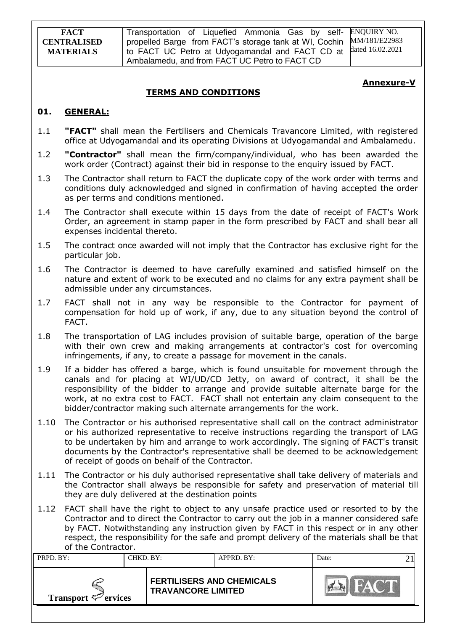**FACT CENTRALISED MATERIALS** Transportation of Liquefied Ammonia Gas by selfpropelled Barge from FACT's storage tank at WI, Cochin to FACT UC Petro at Udyogamandal and FACT CD at Ambalamedu, and from FACT UC Petro to FACT CD ENQUIRY NO. MM/181/E22983 dated 16.02.2021

### **Annexure-V**

## **TERMS AND CONDITIONS**

### **01. GENERAL:**

- 1.1 **"FACT"** shall mean the Fertilisers and Chemicals Travancore Limited, with registered office at Udyogamandal and its operating Divisions at Udyogamandal and Ambalamedu.
- 1.2 **"Contractor"** shall mean the firm/company/individual, who has been awarded the work order (Contract) against their bid in response to the enquiry issued by FACT.
- 1.3 The Contractor shall return to FACT the duplicate copy of the work order with terms and conditions duly acknowledged and signed in confirmation of having accepted the order as per terms and conditions mentioned.
- 1.4 The Contractor shall execute within 15 days from the date of receipt of FACT's Work Order, an agreement in stamp paper in the form prescribed by FACT and shall bear all expenses incidental thereto.
- 1.5 The contract once awarded will not imply that the Contractor has exclusive right for the particular job.
- 1.6 The Contractor is deemed to have carefully examined and satisfied himself on the nature and extent of work to be executed and no claims for any extra payment shall be admissible under any circumstances.
- 1.7 FACT shall not in any way be responsible to the Contractor for payment of compensation for hold up of work, if any, due to any situation beyond the control of FACT.
- 1.8 The transportation of LAG includes provision of suitable barge, operation of the barge with their own crew and making arrangements at contractor's cost for overcoming infringements, if any, to create a passage for movement in the canals.
- 1.9 If a bidder has offered a barge, which is found unsuitable for movement through the canals and for placing at WI/UD/CD Jetty, on award of contract, it shall be the responsibility of the bidder to arrange and provide suitable alternate barge for the work, at no extra cost to FACT. FACT shall not entertain any claim consequent to the bidder/contractor making such alternate arrangements for the work.
- 1.10 The Contractor or his authorised representative shall call on the contract administrator or his authorized representative to receive instructions regarding the transport of LAG to be undertaken by him and arrange to work accordingly. The signing of FACT's transit documents by the Contractor's representative shall be deemed to be acknowledgement of receipt of goods on behalf of the Contractor.
- 1.11 The Contractor or his duly authorised representative shall take delivery of materials and the Contractor shall always be responsible for safety and preservation of material till they are duly delivered at the destination points
- 1.12 FACT shall have the right to object to any unsafe practice used or resorted to by the Contractor and to direct the Contractor to carry out the job in a manner considered safe by FACT. Notwithstanding any instruction given by FACT in this respect or in any other respect, the responsibility for the safe and prompt delivery of the materials shall be that of the Contractor.

| PRPD. BY:<br>CHKD, BY:   |  | APPRD. BY:                                                    |  | Date: |  |
|--------------------------|--|---------------------------------------------------------------|--|-------|--|
| Transport $\leq$ ervices |  | <b>FERTILISERS AND CHEMICALS</b><br><b>TRAVANCORE LIMITED</b> |  |       |  |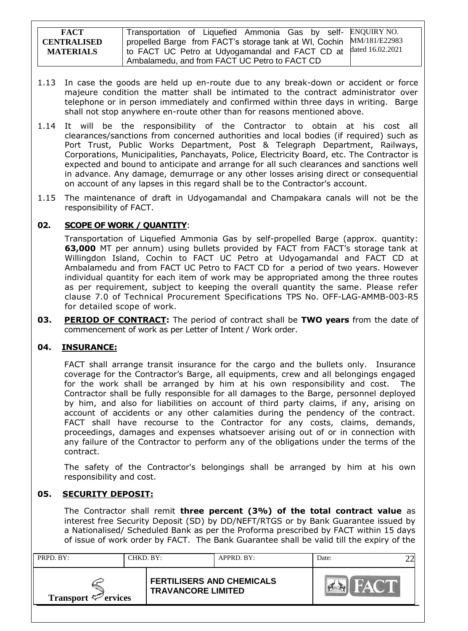| <b>FACT</b>                            | Transportation of Liquefied Ammonia Gas by self- ENQUIRY NO.                                                                                                                                |  |
|----------------------------------------|---------------------------------------------------------------------------------------------------------------------------------------------------------------------------------------------|--|
| <b>CENTRALISED</b><br><b>MATERIALS</b> | propelled Barge from FACT's storage tank at WI, Cochin MM/181/E22983<br>1 to FACT UC Petro at Udyogamandal and FACT CD at dated 16.02.2021<br>Ambalamedu, and from FACT UC Petro to FACT CD |  |
|                                        |                                                                                                                                                                                             |  |

- 1.13 In case the goods are held up en-route due to any break-down or accident or force majeure condition the matter shall be intimated to the contract administrator over telephone or in person immediately and confirmed within three days in writing. Barge shall not stop anywhere en-route other than for reasons mentioned above.
- 1.14 It will be the responsibility of the Contractor to obtain at his cost all clearances/sanctions from concerned authorities and local bodies (if required) such as Port Trust, Public Works Department, Post & Telegraph Department, Railways, Corporations, Municipalities, Panchayats, Police, Electricity Board, etc. The Contractor is expected and bound to anticipate and arrange for all such clearances and sanctions well in advance. Any damage, demurrage or any other losses arising direct or consequential on account of any lapses in this regard shall be to the Contractor's account.
- 1.15 The maintenance of draft in Udyogamandal and Champakara canals will not be the responsibility of FACT.

# **02. SCOPE OF WORK / QUANTITY**:

Transportation of Liquefied Ammonia Gas by self-propelled Barge (approx. quantity: **63,000** MT per annum) using bullets provided by FACT from FACT's storage tank at Willingdon Island, Cochin to FACT UC Petro at Udyogamandal and FACT CD at Ambalamedu and from FACT UC Petro to FACT CD for a period of two years. However individual quantity for each item of work may be appropriated among the three routes as per requirement, subject to keeping the overall quantity the same. Please refer clause 7.0 of Technical Procurement Specifications TPS No. OFF-LAG-AMMB-003-R5 for detailed scope of work.

**03. PERIOD OF CONTRACT:** The period of contract shall be **TWO years** from the date of commencement of work as per Letter of Intent / Work order.

## **04. INSURANCE:**

FACT shall arrange transit insurance for the cargo and the bullets only. Insurance coverage for the Contractor"s Barge, all equipments, crew and all belongings engaged for the work shall be arranged by him at his own responsibility and cost. The Contractor shall be fully responsible for all damages to the Barge, personnel deployed by him, and also for liabilities on account of third party claims, if any, arising on account of accidents or any other calamities during the pendency of the contract. FACT shall have recourse to the Contractor for any costs, claims, demands, proceedings, damages and expenses whatsoever arising out of or in connection with any failure of the Contractor to perform any of the obligations under the terms of the contract.

The safety of the Contractor's belongings shall be arranged by him at his own responsibility and cost.

### **05. SECURITY DEPOSIT:**

The Contractor shall remit **three percent (3%) of the total contract value** as interest free Security Deposit (SD) by DD/NEFT/RTGS or by Bank Guarantee issued by a Nationalised/ Scheduled Bank as per the Proforma prescribed by FACT within 15 days of issue of work order by FACT. The Bank Guarantee shall be valid till the expiry of the

| PRPD. BY:<br>CHKD. BY:       |  | APPRD. BY:                                                    |  | Date: |  |
|------------------------------|--|---------------------------------------------------------------|--|-------|--|
| Transport $\epsilon$ ervices |  | <b>FERTILISERS AND CHEMICALS</b><br><b>TRAVANCORE LIMITED</b> |  |       |  |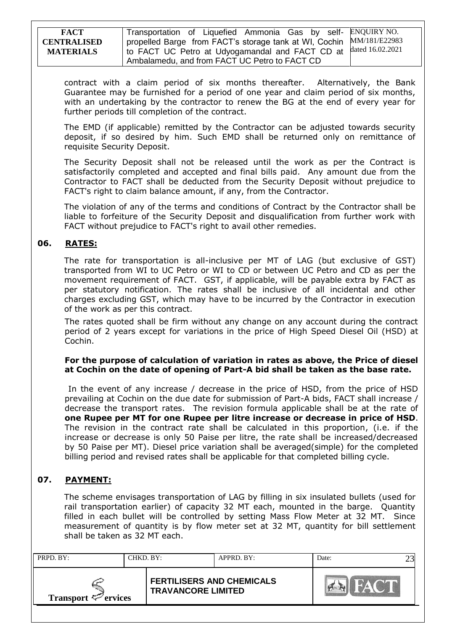| <b>FACT</b>        | Transportation of Liquefied Ammonia Gas by self- ENQUIRY NO.                  |  |
|--------------------|-------------------------------------------------------------------------------|--|
| <b>CENTRALISED</b> | I propelled Barge from FACT's storage tank at WI, Cochin MM/181/E22983        |  |
| <b>MATERIALS</b>   | <sup>1</sup> to FACT UC Petro at Udyogamandal and FACT CD at dated 16.02.2021 |  |
|                    | Ambalamedu, and from FACT UC Petro to FACT CD                                 |  |

contract with a claim period of six months thereafter. Alternatively, the Bank Guarantee may be furnished for a period of one year and claim period of six months, with an undertaking by the contractor to renew the BG at the end of every year for further periods till completion of the contract.

The EMD (if applicable) remitted by the Contractor can be adjusted towards security deposit, if so desired by him. Such EMD shall be returned only on remittance of requisite Security Deposit.

The Security Deposit shall not be released until the work as per the Contract is satisfactorily completed and accepted and final bills paid. Any amount due from the Contractor to FACT shall be deducted from the Security Deposit without prejudice to FACT's right to claim balance amount, if any, from the Contractor.

The violation of any of the terms and conditions of Contract by the Contractor shall be liable to forfeiture of the Security Deposit and disqualification from further work with FACT without prejudice to FACT's right to avail other remedies.

## **06. RATES:**

The rate for transportation is all-inclusive per MT of LAG (but exclusive of GST) transported from WI to UC Petro or WI to CD or between UC Petro and CD as per the movement requirement of FACT. GST, if applicable, will be payable extra by FACT as per statutory notification. The rates shall be inclusive of all incidental and other charges excluding GST, which may have to be incurred by the Contractor in execution of the work as per this contract.

 The rates quoted shall be firm without any change on any account during the contract period of 2 years except for variations in the price of High Speed Diesel Oil (HSD) at Cochin.

### **For the purpose of calculation of variation in rates as above, the Price of diesel at Cochin on the date of opening of Part-A bid shall be taken as the base rate.**

 In the event of any increase / decrease in the price of HSD, from the price of HSD prevailing at Cochin on the due date for submission of Part-A bids, FACT shall increase / decrease the transport rates. The revision formula applicable shall be at the rate of **one Rupee per MT for one Rupee per litre increase or decrease in price of HSD**. The revision in the contract rate shall be calculated in this proportion, (i.e. if the increase or decrease is only 50 Paise per litre, the rate shall be increased/decreased by 50 Paise per MT). Diesel price variation shall be averaged(simple) for the completed billing period and revised rates shall be applicable for that completed billing cycle.

## **07. PAYMENT:**

The scheme envisages transportation of LAG by filling in six insulated bullets (used for rail transportation earlier) of capacity 32 MT each, mounted in the barge. Quantity filled in each bullet will be controlled by setting Mass Flow Meter at 32 MT. Since measurement of quantity is by flow meter set at 32 MT, quantity for bill settlement shall be taken as 32 MT each.

| PRPD. BY:                                                                                 | CHKD. BY: |  | APPRD. BY: | Date: |  |
|-------------------------------------------------------------------------------------------|-----------|--|------------|-------|--|
| <b>FERTILISERS AND CHEMICALS</b><br><b>TRAVANCORE LIMITED</b><br>Transport $\leq$ ervices |           |  |            |       |  |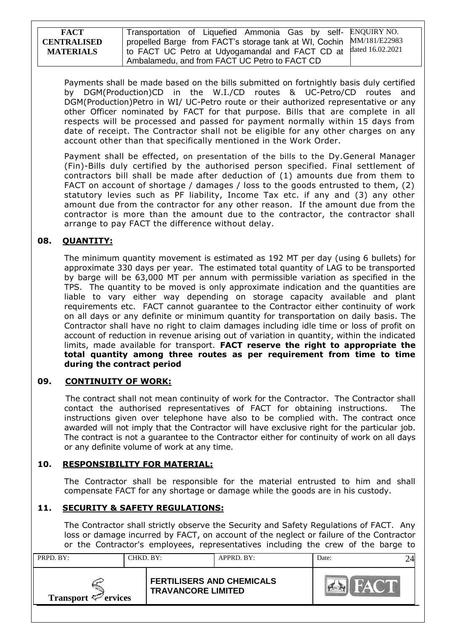| <b>FACT</b>        | Transportation of Liquefied Ammonia Gas by self- ENQUIRY NO.                  |  |
|--------------------|-------------------------------------------------------------------------------|--|
| <b>CENTRALISED</b> | propelled Barge from FACT's storage tank at WI, Cochin MM/181/E22983          |  |
| <b>MATERIALS</b>   | <sup>1</sup> to FACT UC Petro at Udyogamandal and FACT CD at dated 16.02.2021 |  |
|                    | Ambalamedu, and from FACT UC Petro to FACT CD                                 |  |

Payments shall be made based on the bills submitted on fortnightly basis duly certified by DGM(Production)CD in the W.I./CD routes & UC-Petro/CD routes and DGM(Production)Petro in WI/ UC-Petro route or their authorized representative or any other Officer nominated by FACT for that purpose. Bills that are complete in all respects will be processed and passed for payment normally within 15 days from date of receipt. The Contractor shall not be eligible for any other charges on any account other than that specifically mentioned in the Work Order.

Payment shall be effected, on presentation of the bills to the Dy.General Manager (Fin)-Bills duly certified by the authorised person specified. Final settlement of contractors bill shall be made after deduction of (1) amounts due from them to FACT on account of shortage / damages / loss to the goods entrusted to them, (2) statutory levies such as PF liability, Income Tax etc. if any and (3) any other amount due from the contractor for any other reason. If the amount due from the contractor is more than the amount due to the contractor, the contractor shall arrange to pay FACT the difference without delay.

# **08. QUANTITY:**

The minimum quantity movement is estimated as 192 MT per day (using 6 bullets) for approximate 330 days per year. The estimated total quantity of LAG to be transported by barge will be 63,000 MT per annum with permissible variation as specified in the TPS. The quantity to be moved is only approximate indication and the quantities are liable to vary either way depending on storage capacity available and plant requirements etc. FACT cannot guarantee to the Contractor either continuity of work on all days or any definite or minimum quantity for transportation on daily basis. The Contractor shall have no right to claim damages including idle time or loss of profit on account of reduction in revenue arising out of variation in quantity, within the indicated limits, made available for transport. **FACT reserve the right to appropriate the total quantity among three routes as per requirement from time to time during the contract period**

### **09. CONTINUITY OF WORK:**

 The contract shall not mean continuity of work for the Contractor. The Contractor shall contact the authorised representatives of FACT for obtaining instructions. The instructions given over telephone have also to be complied with. The contract once awarded will not imply that the Contractor will have exclusive right for the particular job. The contract is not a guarantee to the Contractor either for continuity of work on all days or any definite volume of work at any time.

## **10. RESPONSIBILITY FOR MATERIAL:**

The Contractor shall be responsible for the material entrusted to him and shall compensate FACT for any shortage or damage while the goods are in his custody.

## **11. SECURITY & SAFETY REGULATIONS:**

The Contractor shall strictly observe the Security and Safety Regulations of FACT. Any loss or damage incurred by FACT, on account of the neglect or failure of the Contractor or the Contractor's employees, representatives including the crew of the barge to

| PRPD. BY:<br>CHKD. BY:          |  |                                                               | APPRD. BY: | Date: |  |
|---------------------------------|--|---------------------------------------------------------------|------------|-------|--|
| Transport $\mathcal{P}$ ervices |  | <b>FERTILISERS AND CHEMICALS</b><br><b>TRAVANCORE LIMITED</b> |            |       |  |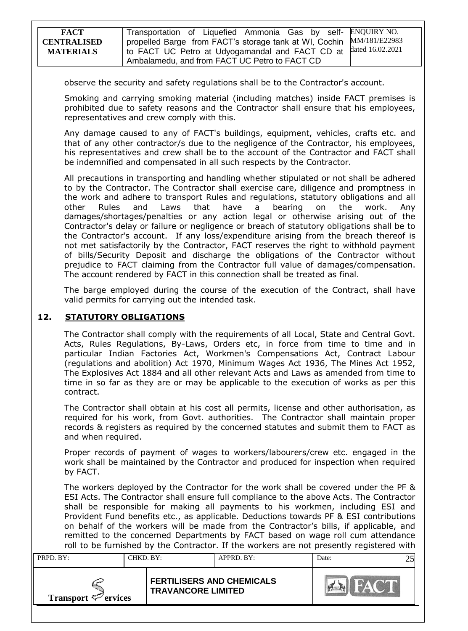| <b>FACT</b>        | Transportation of Liquefied Ammonia Gas by self- ENQUIRY NO.         |  |
|--------------------|----------------------------------------------------------------------|--|
| <b>CENTRALISED</b> | propelled Barge from FACT's storage tank at WI, Cochin MM/181/E22983 |  |
| <b>MATERIALS</b>   | I to FACT UC Petro at Udyogamandal and FACT CD at dated 16.02.2021   |  |
|                    | Ambalamedu, and from FACT UC Petro to FACT CD                        |  |

observe the security and safety regulations shall be to the Contractor's account.

Smoking and carrying smoking material (including matches) inside FACT premises is prohibited due to safety reasons and the Contractor shall ensure that his employees, representatives and crew comply with this.

Any damage caused to any of FACT's buildings, equipment, vehicles, crafts etc. and that of any other contractor/s due to the negligence of the Contractor, his employees, his representatives and crew shall be to the account of the Contractor and FACT shall be indemnified and compensated in all such respects by the Contractor.

All precautions in transporting and handling whether stipulated or not shall be adhered to by the Contractor. The Contractor shall exercise care, diligence and promptness in the work and adhere to transport Rules and regulations, statutory obligations and all other Rules and Laws that have a bearing on the work. Any damages/shortages/penalties or any action legal or otherwise arising out of the Contractor's delay or failure or negligence or breach of statutory obligations shall be to the Contractor's account. If any loss/expenditure arising from the breach thereof is not met satisfactorily by the Contractor, FACT reserves the right to withhold payment of bills/Security Deposit and discharge the obligations of the Contractor without prejudice to FACT claiming from the Contractor full value of damages/compensation. The account rendered by FACT in this connection shall be treated as final.

The barge employed during the course of the execution of the Contract, shall have valid permits for carrying out the intended task.

## **12. STATUTORY OBLIGATIONS**

The Contractor shall comply with the requirements of all Local, State and Central Govt. Acts, Rules Regulations, By-Laws, Orders etc, in force from time to time and in particular Indian Factories Act, Workmen's Compensations Act, Contract Labour (regulations and abolition) Act 1970, Minimum Wages Act 1936, The Mines Act 1952, The Explosives Act 1884 and all other relevant Acts and Laws as amended from time to time in so far as they are or may be applicable to the execution of works as per this contract.

The Contractor shall obtain at his cost all permits, license and other authorisation, as required for his work, from Govt. authorities. The Contractor shall maintain proper records & registers as required by the concerned statutes and submit them to FACT as and when required.

Proper records of payment of wages to workers/labourers/crew etc. engaged in the work shall be maintained by the Contractor and produced for inspection when required by FACT.

The workers deployed by the Contractor for the work shall be covered under the PF & ESI Acts. The Contractor shall ensure full compliance to the above Acts. The Contractor shall be responsible for making all payments to his workmen, including ESI and Provident Fund benefits etc., as applicable. Deductions towards PF & ESI contributions on behalf of the workers will be made from the Contractor"s bills, if applicable, and remitted to the concerned Departments by FACT based on wage roll cum attendance roll to be furnished by the Contractor. If the workers are not presently registered with

| PRPD. BY:<br>CHKD. BY:                                                                    |  | APPRD. BY: |  | Date: |  |
|-------------------------------------------------------------------------------------------|--|------------|--|-------|--|
| <b>FERTILISERS AND CHEMICALS</b><br><b>TRAVANCORE LIMITED</b><br>Transport $\leq$ ervices |  |            |  |       |  |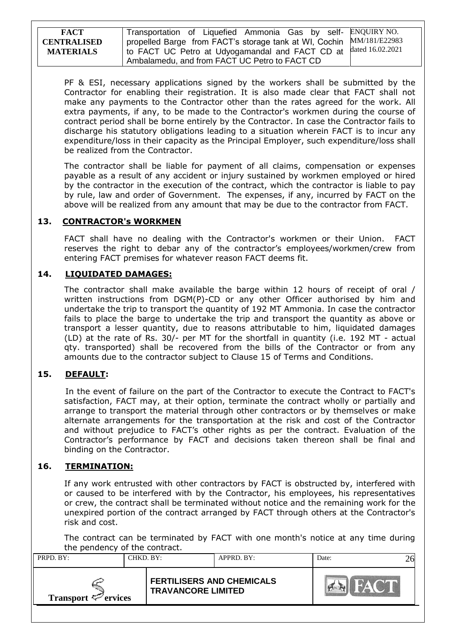**FACT CENTRALISED MATERIALS** Transportation of Liquefied Ammonia Gas by selfpropelled Barge from FACT's storage tank at WI, Cochin to FACT UC Petro at Udyogamandal and FACT CD at Ambalamedu, and from FACT UC Petro to FACT CD ENQUIRY NO. MM/181/E22983 dated 16.02.2021

PF & ESI, necessary applications signed by the workers shall be submitted by the Contractor for enabling their registration. It is also made clear that FACT shall not make any payments to the Contractor other than the rates agreed for the work. All extra payments, if any, to be made to the Contractor's workmen during the course of contract period shall be borne entirely by the Contractor. In case the Contractor fails to discharge his statutory obligations leading to a situation wherein FACT is to incur any expenditure/loss in their capacity as the Principal Employer, such expenditure/loss shall be realized from the Contractor.

The contractor shall be liable for payment of all claims, compensation or expenses payable as a result of any accident or injury sustained by workmen employed or hired by the contractor in the execution of the contract, which the contractor is liable to pay by rule, law and order of Government. The expenses, if any, incurred by FACT on the above will be realized from any amount that may be due to the contractor from FACT.

# **13. CONTRACTOR's WORKMEN**

FACT shall have no dealing with the Contractor's workmen or their Union. FACT reserves the right to debar any of the contractor's employees/workmen/crew from entering FACT premises for whatever reason FACT deems fit.

## **14. LIQUIDATED DAMAGES:**

The contractor shall make available the barge within 12 hours of receipt of oral / written instructions from DGM(P)-CD or any other Officer authorised by him and undertake the trip to transport the quantity of 192 MT Ammonia. In case the contractor fails to place the barge to undertake the trip and transport the quantity as above or transport a lesser quantity, due to reasons attributable to him, liquidated damages (LD) at the rate of Rs. 30/- per MT for the shortfall in quantity (i.e. 192 MT - actual qty. transported) shall be recovered from the bills of the Contractor or from any amounts due to the contractor subject to Clause 15 of Terms and Conditions.

# **15. DEFAULT:**

 In the event of failure on the part of the Contractor to execute the Contract to FACT's satisfaction, FACT may, at their option, terminate the contract wholly or partially and arrange to transport the material through other contractors or by themselves or make alternate arrangements for the transportation at the risk and cost of the Contractor and without prejudice to FACT"s other rights as per the contract. Evaluation of the Contractor"s performance by FACT and decisions taken thereon shall be final and binding on the Contractor.

## **16. TERMINATION:**

If any work entrusted with other contractors by FACT is obstructed by, interfered with or caused to be interfered with by the Contractor, his employees, his representatives or crew, the contract shall be terminated without notice and the remaining work for the unexpired portion of the contract arranged by FACT through others at the Contractor's risk and cost.

The contract can be terminated by FACT with one month's notice at any time during the pendency of the contract.

| PRPD. BY:<br>CHKD. BY:          |  | APPRD. BY:                                                    |  | Date: |  |
|---------------------------------|--|---------------------------------------------------------------|--|-------|--|
| Transport $\mathcal{P}$ ervices |  | <b>FERTILISERS AND CHEMICALS</b><br><b>TRAVANCORE LIMITED</b> |  |       |  |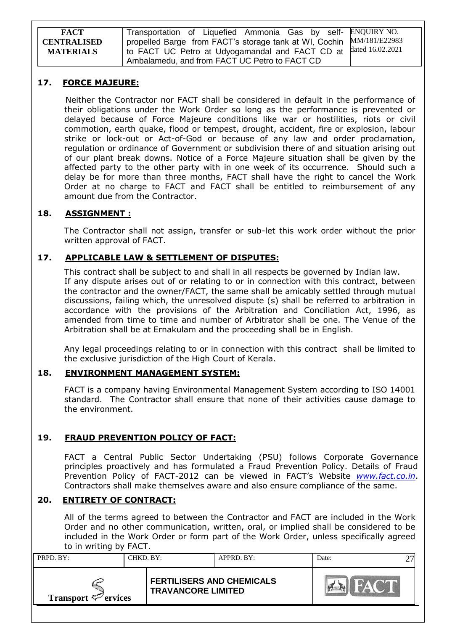Transportation of Liquefied Ammonia Gas by selfpropelled Barge from FACT's storage tank at WI, Cochin to FACT UC Petro at Udyogamandal and FACT CD at Ambalamedu, and from FACT UC Petro to FACT CD ENQUIRY NO. MM/181/E22983 dated 16.02.2021

### **17. FORCE MAJEURE:**

 Neither the Contractor nor FACT shall be considered in default in the performance of their obligations under the Work Order so long as the performance is prevented or delayed because of Force Majeure conditions like war or hostilities, riots or civil commotion, earth quake, flood or tempest, drought, accident, fire or explosion, labour strike or lock-out or Act-of-God or because of any law and order proclamation, regulation or ordinance of Government or subdivision there of and situation arising out of our plant break downs. Notice of a Force Majeure situation shall be given by the affected party to the other party with in one week of its occurrence. Should such a delay be for more than three months, FACT shall have the right to cancel the Work Order at no charge to FACT and FACT shall be entitled to reimbursement of any amount due from the Contractor.

## **18. ASSIGNMENT :**

The Contractor shall not assign, transfer or sub-let this work order without the prior written approval of FACT.

### **17. APPLICABLE LAW & SETTLEMENT OF DISPUTES:**

This contract shall be subject to and shall in all respects be governed by Indian law. If any dispute arises out of or relating to or in connection with this contract, between the contractor and the owner/FACT, the same shall be amicably settled through mutual discussions, failing which, the unresolved dispute (s) shall be referred to arbitration in accordance with the provisions of the Arbitration and Conciliation Act, 1996, as amended from time to time and number of Arbitrator shall be one. The Venue of the Arbitration shall be at Ernakulam and the proceeding shall be in English.

Any legal proceedings relating to or in connection with this contract shall be limited to the exclusive jurisdiction of the High Court of Kerala.

### **18. ENVIRONMENT MANAGEMENT SYSTEM:**

FACT is a company having Environmental Management System according to ISO 14001 standard. The Contractor shall ensure that none of their activities cause damage to the environment.

## **19. FRAUD PREVENTION POLICY OF FACT:**

FACT a Central Public Sector Undertaking (PSU) follows Corporate Governance principles proactively and has formulated a Fraud Prevention Policy. Details of Fraud Prevention Policy of FACT-2012 can be viewed in FACT"s Website *[www.fact.co.in](http://www.fact.co.in/)*. Contractors shall make themselves aware and also ensure compliance of the same.

### **20. ENTIRETY OF CONTRACT:**

All of the terms agreed to between the Contractor and FACT are included in the Work Order and no other communication, written, oral, or implied shall be considered to be included in the Work Order or form part of the Work Order, unless specifically agreed to in writing by FACT.

| PRPD. BY:<br>CHKD. BY:   |  | APPRD. BY:                                                    | Date: |  |  |
|--------------------------|--|---------------------------------------------------------------|-------|--|--|
| Transport $\leq$ ervices |  | <b>FERTILISERS AND CHEMICALS</b><br><b>TRAVANCORE LIMITED</b> |       |  |  |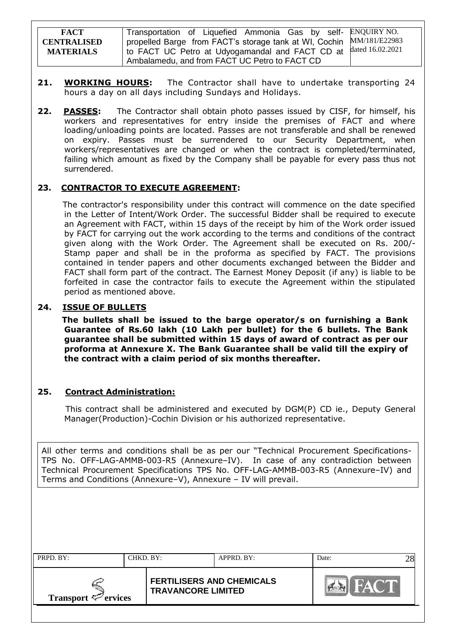| <b>FACT</b>        | Transportation of Liquefied Ammonia Gas by self- ENQUIRY NO.         |                  |
|--------------------|----------------------------------------------------------------------|------------------|
| <b>CENTRALISED</b> | propelled Barge from FACT's storage tank at WI, Cochin MM/181/E22983 |                  |
| <b>MATERIALS</b>   | to FACT UC Petro at Udyogamandal and FACT CD at                      | dated 16.02.2021 |
|                    | Ambalamedu, and from FACT UC Petro to FACT CD                        |                  |

- 21. **WORKING HOURS:** The Contractor shall have to undertake transporting 24 hours a day on all days including Sundays and Holidays.
- **22. PASSES:** The Contractor shall obtain photo passes issued by CISF, for himself, his workers and representatives for entry inside the premises of FACT and where loading/unloading points are located. Passes are not transferable and shall be renewed on expiry. Passes must be surrendered to our Security Department, when workers/representatives are changed or when the contract is completed/terminated, failing which amount as fixed by the Company shall be payable for every pass thus not surrendered.

### **23. CONTRACTOR TO EXECUTE AGREEMENT:**

 The contractor's responsibility under this contract will commence on the date specified in the Letter of Intent/Work Order. The successful Bidder shall be required to execute an Agreement with FACT, within 15 days of the receipt by him of the Work order issued by FACT for carrying out the work according to the terms and conditions of the contract given along with the Work Order. The Agreement shall be executed on Rs. 200/- Stamp paper and shall be in the proforma as specified by FACT. The provisions contained in tender papers and other documents exchanged between the Bidder and FACT shall form part of the contract. The Earnest Money Deposit (if any) is liable to be forfeited in case the contractor fails to execute the Agreement within the stipulated period as mentioned above.

### **24. ISSUE OF BULLETS**

 **The bullets shall be issued to the barge operator/s on furnishing a Bank Guarantee of Rs.60 lakh (10 Lakh per bullet) for the 6 bullets. The Bank guarantee shall be submitted within 15 days of award of contract as per our proforma at Annexure X. The Bank Guarantee shall be valid till the expiry of the contract with a claim period of six months thereafter.**

### **25. Contract Administration:**

 This contract shall be administered and executed by DGM(P) CD ie., Deputy General Manager(Production)-Cochin Division or his authorized representative.

All other terms and conditions shall be as per our "Technical Procurement Specifications-TPS No. OFF-LAG-AMMB-003-R5 (Annexure–IV). In case of any contradiction between Technical Procurement Specifications TPS No. OFF-LAG-AMMB-003-R5 (Annexure–IV) and Terms and Conditions (Annexure–V), Annexure – IV will prevail.

| PRPD. BY:                                                                                 |  | CHKD. BY: | APPRD. BY: | Date: |  |
|-------------------------------------------------------------------------------------------|--|-----------|------------|-------|--|
| <b>FERTILISERS AND CHEMICALS</b><br><b>TRAVANCORE LIMITED</b><br>Transport $\leq$ ervices |  |           |            |       |  |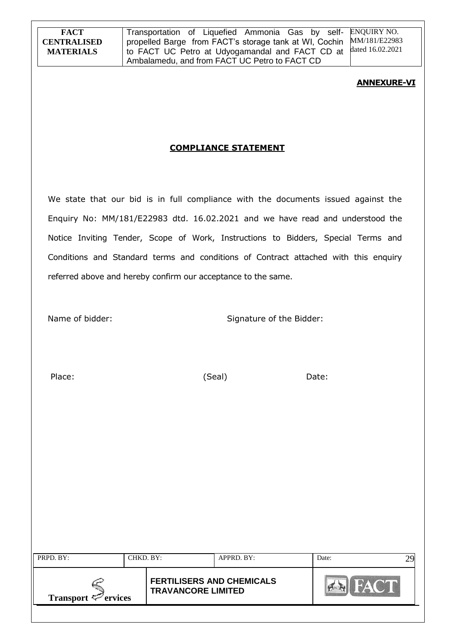Transportation of Liquefied Ammonia Gas by selfpropelled Barge from FACT's storage tank at WI, Cochin to FACT UC Petro at Udyogamandal and FACT CD at Ambalamedu, and from FACT UC Petro to FACT CD ENQUIRY NO. MM/181/E22983 dated 16.02.2021

### **ANNEXURE-VI**

# **COMPLIANCE STATEMENT**

We state that our bid is in full compliance with the documents issued against the Enquiry No: MM/181/E22983 dtd. 16.02.2021 and we have read and understood the Notice Inviting Tender, Scope of Work, Instructions to Bidders, Special Terms and Conditions and Standard terms and conditions of Contract attached with this enquiry referred above and hereby confirm our acceptance to the same.

Name of bidder: Signature of the Bidder:

Place: Contract (Seal) Date:

| PRPD. BY:                                                                                        |  | CHKD. BY:<br>APPRD. BY: |  | Date: |  |
|--------------------------------------------------------------------------------------------------|--|-------------------------|--|-------|--|
| <b>FERTILISERS AND CHEMICALS</b><br><b>TRAVANCORE LIMITED</b><br>Transport $\mathcal{P}$ ervices |  |                         |  |       |  |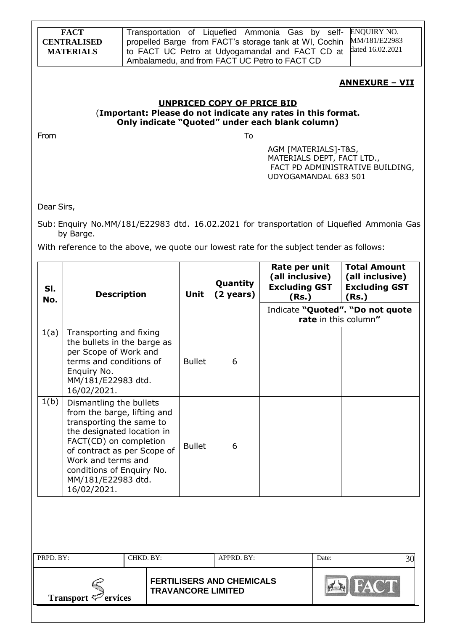|            | <b>FACT</b><br><b>CENTRALISED</b><br><b>MATERIALS</b>                                                                                                                                                                                                             |                                                                                                                 |                                 |                                                                   | Transportation of Liquefied Ammonia Gas by self-<br>propelled Barge from FACT's storage tank at WI, Cochin<br>to FACT UC Petro at Udyogamandal and FACT CD at<br>Ambalamedu, and from FACT UC Petro to FACT CD |                                                                         | <b>ENQUIRY NO.</b><br>MM/181/E22983<br>dated 16.02.2021                                   |
|------------|-------------------------------------------------------------------------------------------------------------------------------------------------------------------------------------------------------------------------------------------------------------------|-----------------------------------------------------------------------------------------------------------------|---------------------------------|-------------------------------------------------------------------|----------------------------------------------------------------------------------------------------------------------------------------------------------------------------------------------------------------|-------------------------------------------------------------------------|-------------------------------------------------------------------------------------------|
|            |                                                                                                                                                                                                                                                                   |                                                                                                                 |                                 |                                                                   |                                                                                                                                                                                                                |                                                                         | <u> ANNEXURE – VII</u>                                                                    |
|            |                                                                                                                                                                                                                                                                   | (Important: Please do not indicate any rates in this format.<br>Only indicate "Quoted" under each blank column) |                                 | <b>UNPRICED COPY OF PRICE BID</b>                                 |                                                                                                                                                                                                                |                                                                         |                                                                                           |
| From       |                                                                                                                                                                                                                                                                   |                                                                                                                 |                                 | To                                                                | AGM [MATERIALS]-T&S,<br>MATERIALS DEPT, FACT LTD.,<br>UDYOGAMANDAL 683 501                                                                                                                                     |                                                                         | FACT PD ADMINISTRATIVE BUILDING,                                                          |
| Dear Sirs, |                                                                                                                                                                                                                                                                   |                                                                                                                 |                                 |                                                                   |                                                                                                                                                                                                                |                                                                         |                                                                                           |
|            | by Barge.<br>With reference to the above, we quote our lowest rate for the subject tender as follows:                                                                                                                                                             |                                                                                                                 |                                 |                                                                   |                                                                                                                                                                                                                |                                                                         | Sub: Enquiry No.MM/181/E22983 dtd. 16.02.2021 for transportation of Liquefied Ammonia Gas |
| SI.<br>No. | <b>Description</b>                                                                                                                                                                                                                                                | Unit                                                                                                            | Quantity<br>$(2 \text{ years})$ | Rate per unit<br>(all inclusive)<br><b>Excluding GST</b><br>(Rs.) |                                                                                                                                                                                                                | <b>Total Amount</b><br>(all inclusive)<br><b>Excluding GST</b><br>(Rs.) |                                                                                           |
|            |                                                                                                                                                                                                                                                                   |                                                                                                                 |                                 |                                                                   |                                                                                                                                                                                                                |                                                                         | Indicate "Quoted". "Do not quote<br>rate in this column"                                  |
| 1(a)       | Transporting and fixing<br>the bullets in the barge as<br>per Scope of Work and<br>terms and conditions of<br>Enquiry No.<br>MM/181/E22983 dtd.<br>16/02/2021.                                                                                                    | <b>Bullet</b>                                                                                                   | 6                               |                                                                   |                                                                                                                                                                                                                |                                                                         |                                                                                           |
| 1(b)       | Dismantling the bullets<br>from the barge, lifting and<br>transporting the same to<br>the designated location in<br>FACT(CD) on completion<br>of contract as per Scope of<br>Work and terms and<br>conditions of Enquiry No.<br>MM/181/E22983 dtd.<br>16/02/2021. | <b>Bullet</b>                                                                                                   | 6                               |                                                                   |                                                                                                                                                                                                                |                                                                         |                                                                                           |
|            |                                                                                                                                                                                                                                                                   |                                                                                                                 |                                 |                                                                   |                                                                                                                                                                                                                |                                                                         |                                                                                           |
| PRPD. BY:  |                                                                                                                                                                                                                                                                   | CHKD. BY:                                                                                                       |                                 | APPRD. BY:                                                        |                                                                                                                                                                                                                | Date:                                                                   | 30                                                                                        |
|            | Transport $\mathcal{F}$ ervices                                                                                                                                                                                                                                   |                                                                                                                 |                                 | <b>FERTILISERS AND CHEMICALS</b><br><b>TRAVANCORE LIMITED</b>     |                                                                                                                                                                                                                |                                                                         |                                                                                           |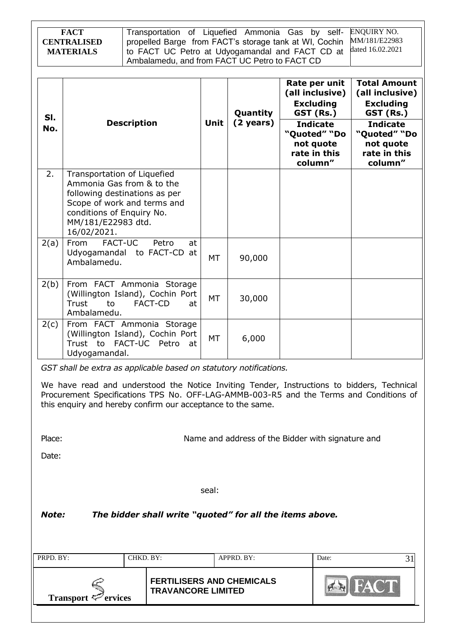| <b>FACT</b>        | Transportation of Liquefied Ammonia Gas by self- ENQUIRY NO.         |  |
|--------------------|----------------------------------------------------------------------|--|
| <b>CENTRALISED</b> | propelled Barge from FACT's storage tank at WI, Cochin MM/181/E22983 |  |
| <b>MATERIALS</b>   | to FACT UC Petro at Udyogamandal and FACT CD at dated 16.02.2021     |  |
|                    | Ambalamedu, and from FACT UC Petro to FACT CD                        |  |

| SI.<br>No. | <b>Description</b>                                                                                                                                                                         | Unit      | Quantity<br>(2 years) | Rate per unit<br>(all inclusive)<br><b>Excluding</b><br>GST (Rs.)<br><b>Indicate</b><br>"Quoted" "Do<br>not quote<br>rate in this<br>column" | <b>Total Amount</b><br>(all inclusive)<br><b>Excluding</b><br>GST (Rs.)<br><b>Indicate</b><br>"Quoted" "Do<br>not quote<br>rate in this<br>column" |
|------------|--------------------------------------------------------------------------------------------------------------------------------------------------------------------------------------------|-----------|-----------------------|----------------------------------------------------------------------------------------------------------------------------------------------|----------------------------------------------------------------------------------------------------------------------------------------------------|
| 2.         | Transportation of Liquefied<br>Ammonia Gas from & to the<br>following destinations as per<br>Scope of work and terms and<br>conditions of Enquiry No.<br>MM/181/E22983 dtd.<br>16/02/2021. |           |                       |                                                                                                                                              |                                                                                                                                                    |
| 2(a)       | FACT-UC<br>From<br>Petro<br>at<br>Udyogamandal to FACT-CD at<br>Ambalamedu.                                                                                                                | <b>MT</b> | 90,000                |                                                                                                                                              |                                                                                                                                                    |
| 2(b)       | From FACT Ammonia Storage<br>(Willington Island), Cochin Port<br><b>FACT-CD</b><br>Trust<br>to<br>at<br>Ambalamedu.                                                                        | MT        | 30,000                |                                                                                                                                              |                                                                                                                                                    |
| 2(c)       | From FACT Ammonia Storage<br>(Willington Island), Cochin Port<br>Trust to FACT-UC Petro<br>at<br>Udyogamandal.                                                                             | <b>MT</b> | 6,000                 |                                                                                                                                              |                                                                                                                                                    |

*GST shall be extra as applicable based on statutory notifications.*

We have read and understood the Notice Inviting Tender, Instructions to bidders, Technical Procurement Specifications TPS No. OFF-LAG-AMMB-003-R5 and the Terms and Conditions of this enquiry and hereby confirm our acceptance to the same.

Place: Name and address of the Bidder with signature and Place:

Date:

seal:

*Note: The bidder shall write "quoted" for all the items above.*

| PRPD. BY:                | CHKD. BY: |                                                               | $APPRD$ . BY: | Date: |  |
|--------------------------|-----------|---------------------------------------------------------------|---------------|-------|--|
| Transport $\leq$ ervices |           | <b>FERTILISERS AND CHEMICALS</b><br><b>TRAVANCORE LIMITED</b> |               |       |  |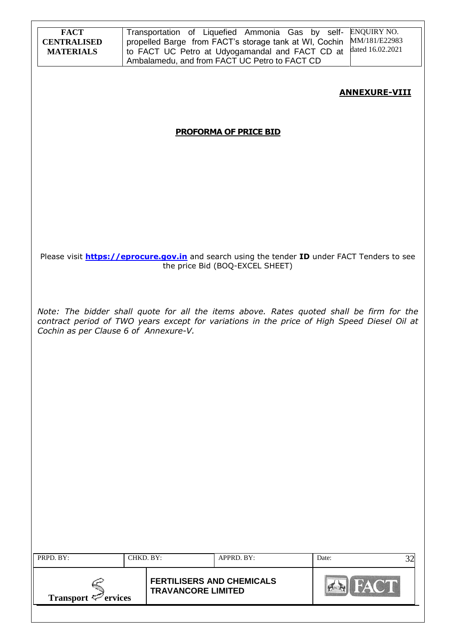| <b>FACT</b><br><b>CENTRALISED</b><br><b>MATERIALS</b> |           |                           | Transportation of Liquefied Ammonia Gas by self-<br>propelled Barge from FACT's storage tank at WI, Cochin<br>to FACT UC Petro at Udyogamandal and FACT CD at<br>Ambalamedu, and from FACT UC Petro to FACT CD | ENQUIRY NO.<br>MM/181/E22983<br>dated 16.02.2021                                                                                                                                        |
|-------------------------------------------------------|-----------|---------------------------|----------------------------------------------------------------------------------------------------------------------------------------------------------------------------------------------------------------|-----------------------------------------------------------------------------------------------------------------------------------------------------------------------------------------|
|                                                       |           |                           |                                                                                                                                                                                                                | <b>ANNEXURE-VIII</b>                                                                                                                                                                    |
|                                                       |           |                           | <b>PROFORMA OF PRICE BID</b>                                                                                                                                                                                   |                                                                                                                                                                                         |
|                                                       |           |                           |                                                                                                                                                                                                                |                                                                                                                                                                                         |
|                                                       |           |                           |                                                                                                                                                                                                                |                                                                                                                                                                                         |
|                                                       |           |                           |                                                                                                                                                                                                                |                                                                                                                                                                                         |
|                                                       |           |                           | the price Bid (BOQ-EXCEL SHEET)                                                                                                                                                                                | Please visit <b>https://eprocure.gov.in</b> and search using the tender ID under FACT Tenders to see                                                                                    |
| Cochin as per Clause 6 of Annexure-V.                 |           |                           |                                                                                                                                                                                                                | Note: The bidder shall quote for all the items above. Rates quoted shall be firm for the<br>contract period of TWO years except for variations in the price of High Speed Diesel Oil at |
|                                                       |           |                           |                                                                                                                                                                                                                |                                                                                                                                                                                         |
|                                                       |           |                           |                                                                                                                                                                                                                |                                                                                                                                                                                         |
|                                                       |           |                           |                                                                                                                                                                                                                |                                                                                                                                                                                         |
|                                                       |           |                           |                                                                                                                                                                                                                |                                                                                                                                                                                         |
|                                                       |           |                           |                                                                                                                                                                                                                |                                                                                                                                                                                         |
|                                                       |           |                           |                                                                                                                                                                                                                |                                                                                                                                                                                         |
| PRPD. BY:                                             | CHKD. BY: |                           | APPRD. BY:                                                                                                                                                                                                     | 32<br>Date:                                                                                                                                                                             |
| Transport $\leq$ <sup>2</sup> ervices                 |           | <b>TRAVANCORE LIMITED</b> | <b>FERTILISERS AND CHEMICALS</b>                                                                                                                                                                               | <b>B</b> FACT                                                                                                                                                                           |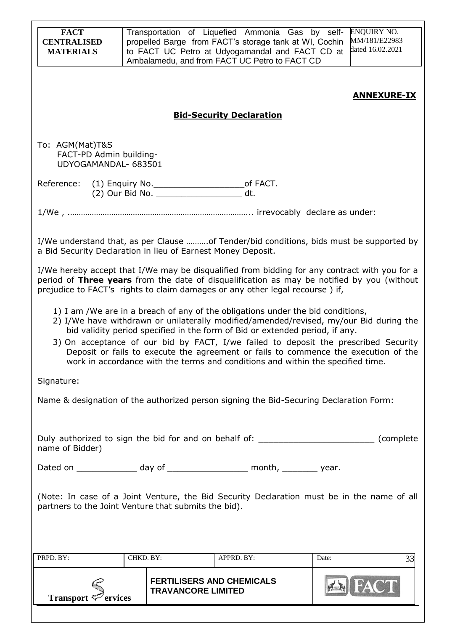| <b>FACT</b><br><b>CENTRALISED</b><br><b>MATERIALS</b>              |                                                              | Transportation of Liquefied Ammonia Gas by self-<br>propelled Barge from FACT's storage tank at WI, Cochin<br>to FACT UC Petro at Udyogamandal and FACT CD at<br>Ambalamedu, and from FACT UC Petro to FACT CD                                     | <b>ENQUIRY NO.</b><br>MM/181/E22983<br>dated 16.02.2021                                                                                                                                                                                                              |
|--------------------------------------------------------------------|--------------------------------------------------------------|----------------------------------------------------------------------------------------------------------------------------------------------------------------------------------------------------------------------------------------------------|----------------------------------------------------------------------------------------------------------------------------------------------------------------------------------------------------------------------------------------------------------------------|
|                                                                    |                                                              |                                                                                                                                                                                                                                                    | <b>ANNEXURE-IX</b>                                                                                                                                                                                                                                                   |
|                                                                    |                                                              | <b>Bid-Security Declaration</b>                                                                                                                                                                                                                    |                                                                                                                                                                                                                                                                      |
| To: AGM(Mat)T&S<br>FACT-PD Admin building-<br>UDYOGAMANDAL- 683501 |                                                              |                                                                                                                                                                                                                                                    |                                                                                                                                                                                                                                                                      |
|                                                                    | (2) Our Bid No. _________________________ dt.                |                                                                                                                                                                                                                                                    |                                                                                                                                                                                                                                                                      |
|                                                                    |                                                              |                                                                                                                                                                                                                                                    |                                                                                                                                                                                                                                                                      |
|                                                                    | a Bid Security Declaration in lieu of Earnest Money Deposit. |                                                                                                                                                                                                                                                    | I/We understand that, as per Clause  of Tender/bid conditions, bids must be supported by                                                                                                                                                                             |
|                                                                    |                                                              | prejudice to FACT's rights to claim damages or any other legal recourse) if,                                                                                                                                                                       | I/We hereby accept that I/We may be disqualified from bidding for any contract with you for a<br>period of Three years from the date of disqualification as may be notified by you (without                                                                          |
|                                                                    |                                                              | 1) I am /We are in a breach of any of the obligations under the bid conditions,<br>bid validity period specified in the form of Bid or extended period, if any.<br>work in accordance with the terms and conditions and within the specified time. | 2) I/We have withdrawn or unilaterally modified/amended/revised, my/our Bid during the<br>3) On acceptance of our bid by FACT, I/we failed to deposit the prescribed Security<br>Deposit or fails to execute the agreement or fails to commence the execution of the |
| Signature:                                                         |                                                              |                                                                                                                                                                                                                                                    |                                                                                                                                                                                                                                                                      |
|                                                                    |                                                              | Name & designation of the authorized person signing the Bid-Securing Declaration Form:                                                                                                                                                             |                                                                                                                                                                                                                                                                      |
| name of Bidder)                                                    |                                                              |                                                                                                                                                                                                                                                    | Duly authorized to sign the bid for and on behalf of: __________________________ (complete                                                                                                                                                                           |
|                                                                    |                                                              | Dated on ________________ day of _____________________ month, _________ year.                                                                                                                                                                      |                                                                                                                                                                                                                                                                      |
|                                                                    | partners to the Joint Venture that submits the bid).         |                                                                                                                                                                                                                                                    | (Note: In case of a Joint Venture, the Bid Security Declaration must be in the name of all                                                                                                                                                                           |
| PRPD. BY:                                                          | CHKD. BY:                                                    | APPRD. BY:                                                                                                                                                                                                                                         | 33<br>Date:                                                                                                                                                                                                                                                          |
| Transport $\mathcal{P}$ ervices                                    | <b>TRAVANCORE LIMITED</b>                                    | <b>FERTILISERS AND CHEMICALS</b>                                                                                                                                                                                                                   |                                                                                                                                                                                                                                                                      |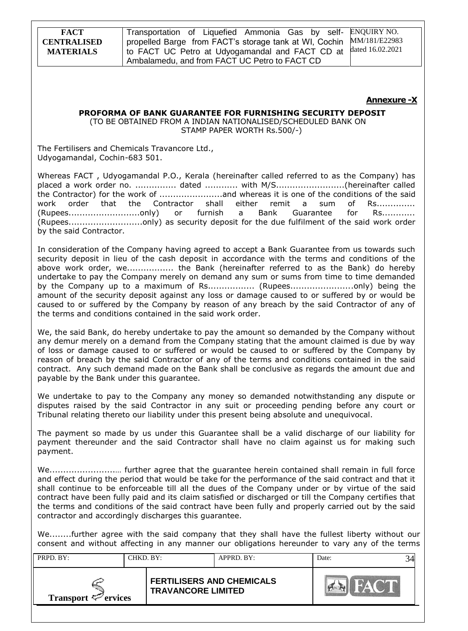Transportation of Liquefied Ammonia Gas by selfpropelled Barge from FACT's storage tank at WI, Cochin to FACT UC Petro at Udyogamandal and FACT CD at Ambalamedu, and from FACT UC Petro to FACT CD ENQUIRY NO. MM/181/E22983 dated 16.02.2021

#### **Annexure -X**

# **PROFORMA OF BANK GUARANTEE FOR FURNISHING SECURITY DEPOSIT**

(TO BE OBTAINED FROM A INDIAN NATIONALISED/SCHEDULED BANK ON STAMP PAPER WORTH Rs.500/-)

The Fertilisers and Chemicals Travancore Ltd., Udyogamandal, Cochin-683 501.

Whereas FACT , Udyogamandal P.O., Kerala (hereinafter called referred to as the Company) has placed a work order no. ............... dated ............ with M/S.........................(hereinafter called the Contractor) for the work of .......................and whereas it is one of the conditions of the said work order that the Contractor shall either remit a sum of Rs.............. (Rupees..........................only) or furnish a Bank Guarantee for Rs............ (Rupees...........................only) as security deposit for the due fulfilment of the said work order by the said Contractor.

In consideration of the Company having agreed to accept a Bank Guarantee from us towards such security deposit in lieu of the cash deposit in accordance with the terms and conditions of the above work order, we................. the Bank (hereinafter referred to as the Bank) do hereby undertake to pay the Company merely on demand any sum or sums from time to time demanded by the Company up to a maximum of Rs.................. (Rupees.............................only) being the amount of the security deposit against any loss or damage caused to or suffered by or would be caused to or suffered by the Company by reason of any breach by the said Contractor of any of the terms and conditions contained in the said work order.

We, the said Bank, do hereby undertake to pay the amount so demanded by the Company without any demur merely on a demand from the Company stating that the amount claimed is due by way of loss or damage caused to or suffered or would be caused to or suffered by the Company by reason of breach by the said Contractor of any of the terms and conditions contained in the said contract. Any such demand made on the Bank shall be conclusive as regards the amount due and payable by the Bank under this guarantee.

We undertake to pay to the Company any money so demanded notwithstanding any dispute or disputes raised by the said Contractor in any suit or proceeding pending before any court or Tribunal relating thereto our liability under this present being absolute and unequivocal.

The payment so made by us under this Guarantee shall be a valid discharge of our liability for payment thereunder and the said Contractor shall have no claim against us for making such payment.

We........................… further agree that the guarantee herein contained shall remain in full force and effect during the period that would be take for the performance of the said contract and that it shall continue to be enforceable till all the dues of the Company under or by virtue of the said contract have been fully paid and its claim satisfied or discharged or till the Company certifies that the terms and conditions of the said contract have been fully and properly carried out by the said contractor and accordingly discharges this guarantee.

We........further agree with the said company that they shall have the fullest liberty without our consent and without affecting in any manner our obligations hereunder to vary any of the terms

| PRPD. BY:                | CHKD. BY: |                                                               | APPRD. BY: | Date: |  |
|--------------------------|-----------|---------------------------------------------------------------|------------|-------|--|
| Transport $\leq$ ervices |           | <b>FERTILISERS AND CHEMICALS</b><br><b>TRAVANCORE LIMITED</b> |            |       |  |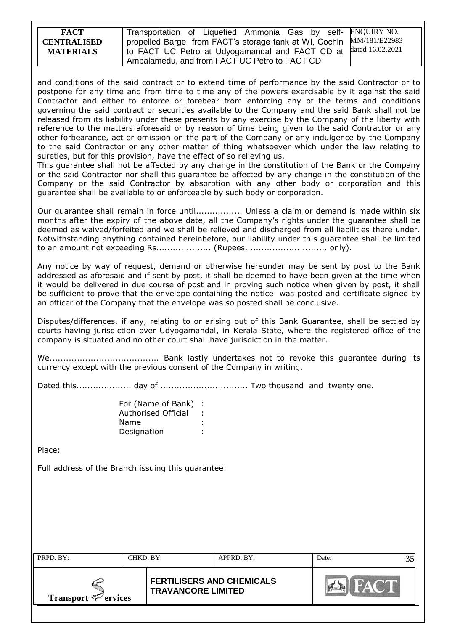| <b>FACT</b>        | Transportation of Liquefied Ammonia Gas by self- ENQUIRY NO.         |  |
|--------------------|----------------------------------------------------------------------|--|
| <b>CENTRALISED</b> | propelled Barge from FACT's storage tank at WI, Cochin MM/181/E22983 |  |
| <b>MATERIALS</b>   | 1 to FACT UC Petro at Udyogamandal and FACT CD at dated 16.02.2021   |  |
|                    | Ambalamedu, and from FACT UC Petro to FACT CD                        |  |

and conditions of the said contract or to extend time of performance by the said Contractor or to postpone for any time and from time to time any of the powers exercisable by it against the said Contractor and either to enforce or forebear from enforcing any of the terms and conditions governing the said contract or securities available to the Company and the said Bank shall not be released from its liability under these presents by any exercise by the Company of the liberty with reference to the matters aforesaid or by reason of time being given to the said Contractor or any other forbearance, act or omission on the part of the Company or any indulgence by the Company to the said Contractor or any other matter of thing whatsoever which under the law relating to sureties, but for this provision, have the effect of so relieving us.

This guarantee shall not be affected by any change in the constitution of the Bank or the Company or the said Contractor nor shall this guarantee be affected by any change in the constitution of the Company or the said Contractor by absorption with any other body or corporation and this guarantee shall be available to or enforceable by such body or corporation.

Our guarantee shall remain in force until................. Unless a claim or demand is made within six months after the expiry of the above date, all the Company"s rights under the guarantee shall be deemed as waived/forfeited and we shall be relieved and discharged from all liabilities there under. Notwithstanding anything contained hereinbefore, our liability under this guarantee shall be limited to an amount not exceeding Rs.................... (Rupees.............................. only).

Any notice by way of request, demand or otherwise hereunder may be sent by post to the Bank addressed as aforesaid and if sent by post, it shall be deemed to have been given at the time when it would be delivered in due course of post and in proving such notice when given by post, it shall be sufficient to prove that the envelope containing the notice was posted and certificate signed by an officer of the Company that the envelope was so posted shall be conclusive.

Disputes/differences, if any, relating to or arising out of this Bank Guarantee, shall be settled by courts having jurisdiction over Udyogamandal, in Kerala State, where the registered office of the company is situated and no other court shall have jurisdiction in the matter.

We........................................ Bank lastly undertakes not to revoke this guarantee during its currency except with the previous consent of the Company in writing.

Dated this.................... day of ................................ Two thousand and twenty one.

| For (Name of Bank)  |  |
|---------------------|--|
| Authorised Official |  |
| Name                |  |
| Designation         |  |

Place:

Full address of the Branch issuing this guarantee:

| PRPD. BY:                       | CHKD. BY: |                                                               | APPRD. BY: | Date: |  |
|---------------------------------|-----------|---------------------------------------------------------------|------------|-------|--|
| Transport $\mathcal{P}$ ervices |           | <b>FERTILISERS AND CHEMICALS</b><br><b>TRAVANCORE LIMITED</b> |            |       |  |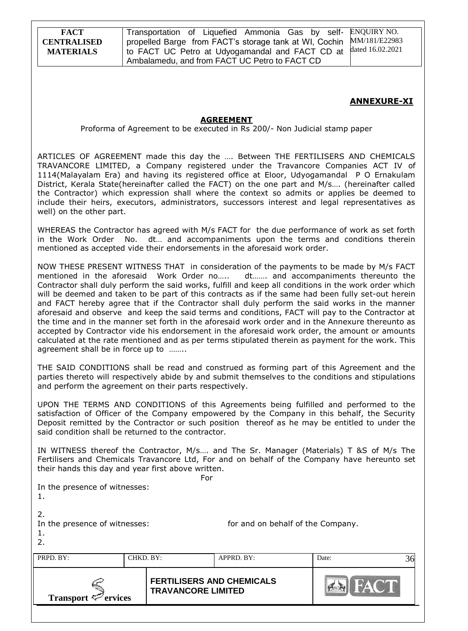Transportation of Liquefied Ammonia Gas by selfpropelled Barge from FACT's storage tank at WI, Cochin to FACT UC Petro at Udyogamandal and FACT CD at Ambalamedu, and from FACT UC Petro to FACT CD ENQUIRY NO. MM/181/E22983 dated 16.02.2021

### **ANNEXURE-XI**

#### **AGREEMENT**

#### Proforma of Agreement to be executed in Rs 200/- Non Judicial stamp paper

ARTICLES OF AGREEMENT made this day the …. Between THE FERTILISERS AND CHEMICALS TRAVANCORE LIMITED, a Company registered under the Travancore Companies ACT IV of 1114(Malayalam Era) and having its registered office at Eloor, Udyogamandal P O Ernakulam District, Kerala State(hereinafter called the FACT) on the one part and M/s…. (hereinafter called the Contractor) which expression shall where the context so admits or applies be deemed to include their heirs, executors, administrators, successors interest and legal representatives as well) on the other part.

WHEREAS the Contractor has agreed with M/s FACT for the due performance of work as set forth in the Work Order No. dt… and accompaniments upon the terms and conditions therein mentioned as accepted vide their endorsements in the aforesaid work order.

NOW THESE PRESENT WITNESS THAT in consideration of the payments to be made by M/s FACT mentioned in the aforesaid Work Order no….. dt……. and accompaniments thereunto the Contractor shall duly perform the said works, fulfill and keep all conditions in the work order which will be deemed and taken to be part of this contracts as if the same had been fully set-out herein and FACT hereby agree that if the Contractor shall duly perform the said works in the manner aforesaid and observe and keep the said terms and conditions, FACT will pay to the Contractor at the time and in the manner set forth in the aforesaid work order and in the Annexure thereunto as accepted by Contractor vide his endorsement in the aforesaid work order, the amount or amounts calculated at the rate mentioned and as per terms stipulated therein as payment for the work. This agreement shall be in force up to ……..

THE SAID CONDITIONS shall be read and construed as forming part of this Agreement and the parties thereto will respectively abide by and submit themselves to the conditions and stipulations and perform the agreement on their parts respectively.

UPON THE TERMS AND CONDITIONS of this Agreements being fulfilled and performed to the satisfaction of Officer of the Company empowered by the Company in this behalf, the Security Deposit remitted by the Contractor or such position thereof as he may be entitled to under the said condition shall be returned to the contractor.

IN WITNESS thereof the Contractor, M/s…. and The Sr. Manager (Materials) T &S of M/s The Fertilisers and Chemicals Travancore Ltd, For and on behalf of the Company have hereunto set their hands this day and year first above written.

For

In the presence of witnesses:

2.

In the presence of witnesses:  $\blacksquare$  for and on behalf of the Company. 1.

2.

| PRPD. BY:                    | CHKD. BY:                 | APPRD. BY:                       | Date: |  |
|------------------------------|---------------------------|----------------------------------|-------|--|
| Transport $\epsilon$ ervices | <b>TRAVANCORE LIMITED</b> | <b>FERTILISERS AND CHEMICALS</b> |       |  |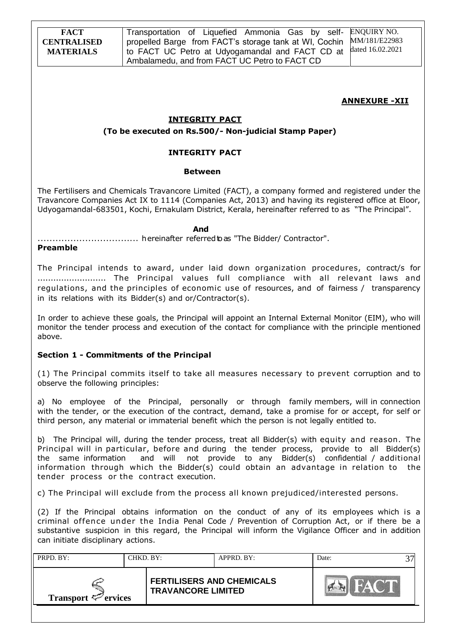Transportation of Liquefied Ammonia Gas by selfpropelled Barge from FACT's storage tank at WI, Cochin to FACT UC Petro at Udyogamandal and FACT CD at Ambalamedu, and from FACT UC Petro to FACT CD ENQUIRY NO. MM/181/E22983 dated 16.02.2021

#### **ANNEXURE -XII**

#### **INTEGRITY PACT**

#### **(To be executed on Rs.500/- Non-judicial Stamp Paper)**

#### **INTEGRITY PACT**

#### **Between**

The Fertilisers and Chemicals Travancore Limited (FACT), a company formed and registered under the Travancore Companies Act IX to 1114 (Companies Act, 2013) and having its registered office at Eloor, Udyogamandal-683501, Kochi, Ernakulam District, Kerala, hereinafter referred to as "The Principal".

#### *And* **And**

.................................. hereinafter referredtoas "The Bidder/ Contractor".

#### **Preamble**

The Principal intends to award, under laid down organization procedures, contract/s for .......................... The Principal values full compliance with all relevant laws and regulations, and the principles of economic use of resources, and of fairness / transparency in its relations with its Bidder(s) and or/Contractor(s).

In order to achieve these goals, the Principal will appoint an Internal External Monitor (EIM), who will monitor the tender process and execution of the contact for compliance with the principle mentioned above.

#### **Section 1 - Commitments of the Principal**

(1) The Principal commits itself to take all measures necessary to prevent corruption and to observe the following principles:

a) No employee of the Principal, personally or through family members, will in connection with the tender, or the execution of the contract, demand, take a promise for or accept, for self or third person, any material or immaterial benefit which the person is not legally entitled to.

b) The Principal will, during the tender process, treat all Bidder(s) with equity and reason. The Principal will in particular, before and during the tender process, provide to all Bidder(s) the same information and will not provide to any Bidder(s) confidential / additional information through which the Bidder(s) could obtain an advantage in relation to the tender process or the contract execution.

c) The Principal will exclude from the process all known prejudiced/interested persons.

(2) If the Principal obtains information on the conduct of any of its employees which is a criminal offence under the India Penal Code / Prevention of Corruption Act, or if there be a substantive suspicion in this regard, the Principal will inform the Vigilance Officer and in addition can initiate disciplinary actions.

| PRPD. BY:<br>CHKD, BY:          |  | $APPRD$ . BY:                                                 | Date: |  |  |
|---------------------------------|--|---------------------------------------------------------------|-------|--|--|
| Transport $\mathcal{P}$ ervices |  | <b>FERTILISERS AND CHEMICALS</b><br><b>TRAVANCORE LIMITED</b> |       |  |  |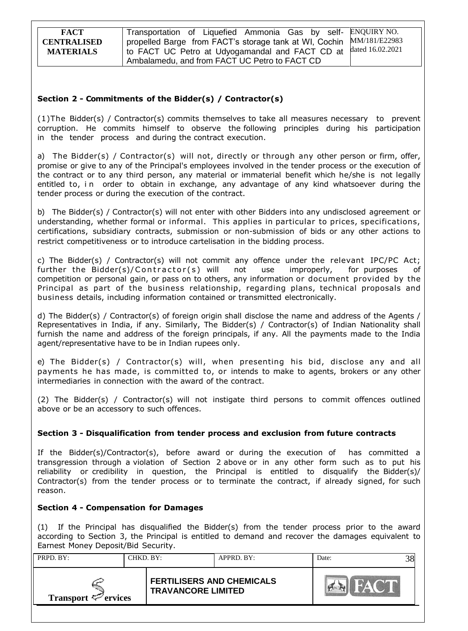**FACT CENTRALISED MATERIALS** Transportation of Liquefied Ammonia Gas by selfpropelled Barge from FACT's storage tank at WI, Cochin to FACT UC Petro at Udyogamandal and FACT CD at Ambalamedu, and from FACT UC Petro to FACT CD ENQUIRY NO. MM/181/E22983 dated 16.02.2021

### **Section 2 - Commitments of the Bidder(s) / Contractor(s)**

(1)The Bidder(s) / Contractor(s) commits themselves to take all measures necessary to prevent corruption. He commits himself to observe the following principles during his participation in the tender process and during the contract execution.

a) The Bidder(s) / Contractor(s) will not, directly or through any other person or firm, offer, promise or give to any of the Principal's employees involved in the tender process or the execution of the contract or to any third person, any material or immaterial benefit which he/she is not legally entitled to, in order to obtain in exchange, any advantage of any kind whatsoever during the tender process or during the execution of the contract.

b) The Bidder(s) / Contractor(s) will not enter with other Bidders into any undisclosed agreement or understanding, whether formal or informal. This applies in particular to prices, specifications, certifications, subsidiary contracts, submission or non-submission of bids or any other actions to restrict competitiveness or to introduce cartelisation in the bidding process.

c) The Bidder(s) / Contractor(s) will not commit any offence under the relevant IPC/PC Act; further the Bidder(s)/ Contractor(s) will not use improperly, for purposes of competition or personal gain, or pass on to others, any information or document provided by the Principal as part of the business relationship, regarding plans, technical proposals and business details, including information contained or transmitted electronically.

d) The Bidder(s) / Contractor(s) of foreign origin shall disclose the name and address of the Agents / Representatives in India, if any. Similarly, The Bidder(s) / Contractor(s) of Indian Nationality shall furnish the name and address of the foreign principals, if any. All the payments made to the India agent/representative have to be in Indian rupees only.

e) The Bidder(s) / Contractor(s) will, when presenting his bid, disclose any and all payments he has made, is committed to, or intends to make to agents, brokers or any other intermediaries in connection with the award of the contract.

(2) The Bidder(s) / Contractor(s) will not instigate third persons to commit offences outlined above or be an accessory to such offences.

### **Section 3 - Disqualification from tender process and exclusion from future contracts**

If the Bidder(s)/Contractor(s), before award or during the execution of has committed a transgression through a violation of Section 2 above or in any other form such as to put his reliability or credibility in question, the Principal is entitled to disqualify the Bidder(s)/ Contractor(s) from the tender process or to terminate the contract, if already signed, for such reason.

#### **Section 4 - Compensation for Damages**

(1) If the Principal has disqualified the Bidder(s) from the tender process prior to the award according to Section 3, the Principal is entitled to demand and recover the damages equivalent to Earnest Money Deposit/Bid Security.

| PRPD. BY:<br>CHKD. BY:          |  |                                                               | APPRD. BY: | Date: |  |
|---------------------------------|--|---------------------------------------------------------------|------------|-------|--|
| Transport $\mathcal{P}$ ervices |  | <b>FERTILISERS AND CHEMICALS</b><br><b>TRAVANCORE LIMITED</b> |            |       |  |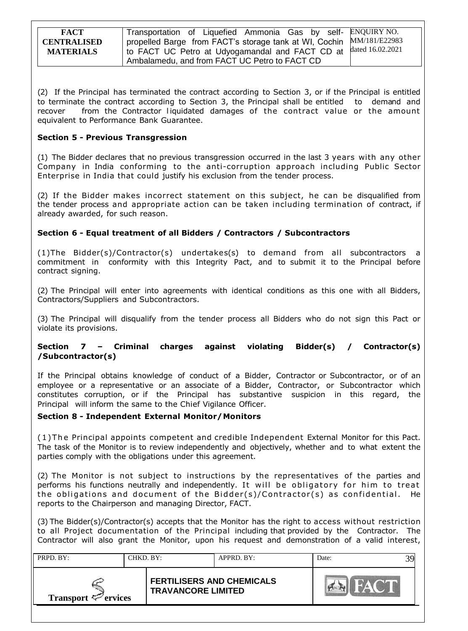| <b>FACT</b>                            | Transportation of Liquefied Ammonia Gas by self- ENQUIRY NO.                                                            |                  |
|----------------------------------------|-------------------------------------------------------------------------------------------------------------------------|------------------|
| <b>CENTRALISED</b><br><b>MATERIALS</b> | propelled Barge from FACT's storage tank at WI, Cochin MM/181/E22983<br>to FACT UC Petro at Udyogamandal and FACT CD at | dated 16.02.2021 |
|                                        | Ambalamedu, and from FACT UC Petro to FACT CD                                                                           |                  |

(2) If the Principal has terminated the contract according to Section 3, or if the Principal is entitled to terminate the contract according to Section 3, the Principal shall be entitled to demand and recover from the Contractor liquidated damages of the contract value or the amount equivalent to Performance Bank Guarantee.

### **Section 5 - Previous Transgression**

(1) The Bidder declares that no previous transgression occurred in the last 3 years with any other Company in India conforming to the anti-corruption approach including Public Sector Enterprise in India that could justify his exclusion from the tender process.

(2) If the Bidder makes incorrect statement on this subject, he can be disqualified from the tender process and appropriate action can be taken including termination of contract, if already awarded, for such reason.

### **Section 6 - Equal treatment of all Bidders / Contractors / Subcontractors**

(1)The Bidder(s)/Contractor(s) undertakes(s) to demand from all subcontractors a commitment in conformity with this Integrity Pact, and to submit it to the Principal before contract signing.

(2) The Principal will enter into agreements with identical conditions as this one with all Bidders, Contractors/Suppliers and Subcontractors.

(3) The Principal will disqualify from the tender process all Bidders who do not sign this Pact or violate its provisions.

### **Section 7 – Criminal charges against violating Bidder(s) / Contractor(s) /Subcontractor(s)**

If the Principal obtains knowledge of conduct of a Bidder, Contractor or Subcontractor, or of an employee or a representative or an associate of a Bidder, Contractor, or Subcontractor which constitutes corruption, or if the Principal has substantive suspicion in this regard, the Principal will inform the same to the Chief Vigilance Officer.

### **Section 8 - Independent External Monitor/Monitors**

( 1 ) T he Principal appoints competent and credible Independent External Monitor for this Pact. The task of the Monitor is to review independently and objectively, whether and to what extent the parties comply with the obligations under this agreement.

(2) The Monitor is not subject to instructions by the representatives of the parties and performs his functions neutrally and independently. It will be obligatory for him to treat the obligations and document of the Bidder(s)/Contractor(s) as confidential. He reports to the Chairperson and managing Director, FACT.

(3) The Bidder(s)/Contractor(s) accepts that the Monitor has the right to access without restriction to all Project documentation of the Principal including that provided by the Contractor. The Contractor will also grant the Monitor, upon his request and demonstration of a valid interest,

| PRPD. BY:<br>CHKD, BY:   |  |                                                               | $APPRD$ . BY: | Date: |  |
|--------------------------|--|---------------------------------------------------------------|---------------|-------|--|
| Transport $\leq$ ervices |  | <b>FERTILISERS AND CHEMICALS</b><br><b>TRAVANCORE LIMITED</b> |               |       |  |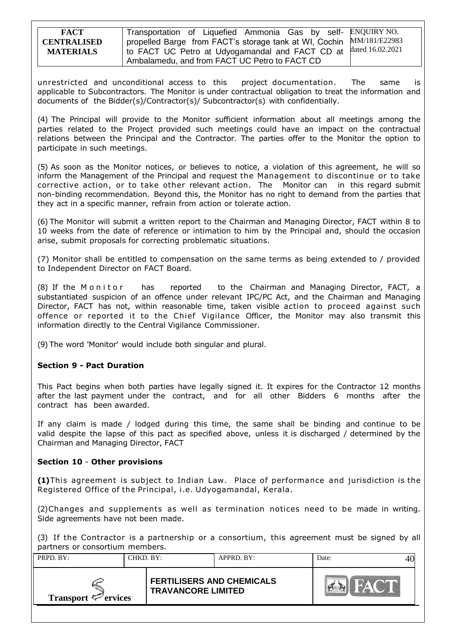| <b>FACT</b>        | Transportation of Liquefied Ammonia Gas by self- ENQUIRY NO.         |  |
|--------------------|----------------------------------------------------------------------|--|
| <b>CENTRALISED</b> | propelled Barge from FACT's storage tank at WI, Cochin MM/181/E22983 |  |
| <b>MATERIALS</b>   | I to FACT UC Petro at Udyogamandal and FACT CD at dated 16.02.2021   |  |
|                    | Ambalamedu, and from FACT UC Petro to FACT CD                        |  |

unrestricted and unconditional access to this project documentation. The same is applicable to Subcontractors. The Monitor is under contractual obligation to treat the information and documents of the Bidder(s)/Contractor(s)/ Subcontractor(s) with confidentially.

(4) The Principal will provide to the Monitor sufficient information about all meetings among the parties related to the Project provided such meetings could have an impact on the contractual relations between the Principal and the Contractor. The parties offer to the Monitor the option to participate in such meetings.

(5) As soon as the Monitor notices, or believes to notice, a violation of this agreement, he will so inform the Management of the Principal and request the Management to discontinue or to take corrective action, or to take other relevant action. The Monitor can in this regard submit non-binding recommendation. Beyond this, the Monitor has no right to demand from the parties that they act in a specific manner, refrain from action or tolerate action.

(6) The Monitor will submit a written report to the Chairman and Managing Director, FACT within 8 to 10 weeks from the date of reference or intimation to him by the Principal and, should the occasion arise, submit proposals for correcting problematic situations.

(7) Monitor shall be entitled to compensation on the same terms as being extended to / provided to Independent Director on FACT Board.

(8) If the Monitor has reported to the Chairman and Managing Director, FACT, a substantiated suspicion of an offence under relevant IPC/PC Act, and the Chairman and Managing Director, FACT has not, within reasonable time, taken visible action to proceed against such offence or reported it to the Chief Vigilance Officer, the Monitor may also transmit this information directly to the Central Vigilance Commissioner.

(9) The word 'Monitor' would include both singular and plural.

### **Section 9 - Pact Duration**

This Pact begins when both parties have legally signed it. It expires for the Contractor 12 months after the last payment under the contract, and for all other Bidders 6 months after the contract has been awarded.

If any claim is made / lodged during this time, the same shall be binding and continue to be valid despite the lapse of this pact as specified above, unless it is discharged / determined by the Chairman and Managing Director, FACT

### **Section 10** - **Other provisions**

**(1)**This agreement is subject to Indian Law. Place of performance and jurisdiction is the Registered Office of the Principal, i.e. Udyogamandal, Kerala.

(2)Changes and supplements as well as termination notices need to be made in writing. Side agreements have not been made.

(3) If the Contractor is a partnership or a consortium, this agreement must be signed by all partners or consortium members.

| PRPD. BY:<br>CHKD. BY:          |  |                                                               | APPRD. BY: | Date: |  |
|---------------------------------|--|---------------------------------------------------------------|------------|-------|--|
| Transport $\mathcal{P}$ ervices |  | <b>FERTILISERS AND CHEMICALS</b><br><b>TRAVANCORE LIMITED</b> |            |       |  |